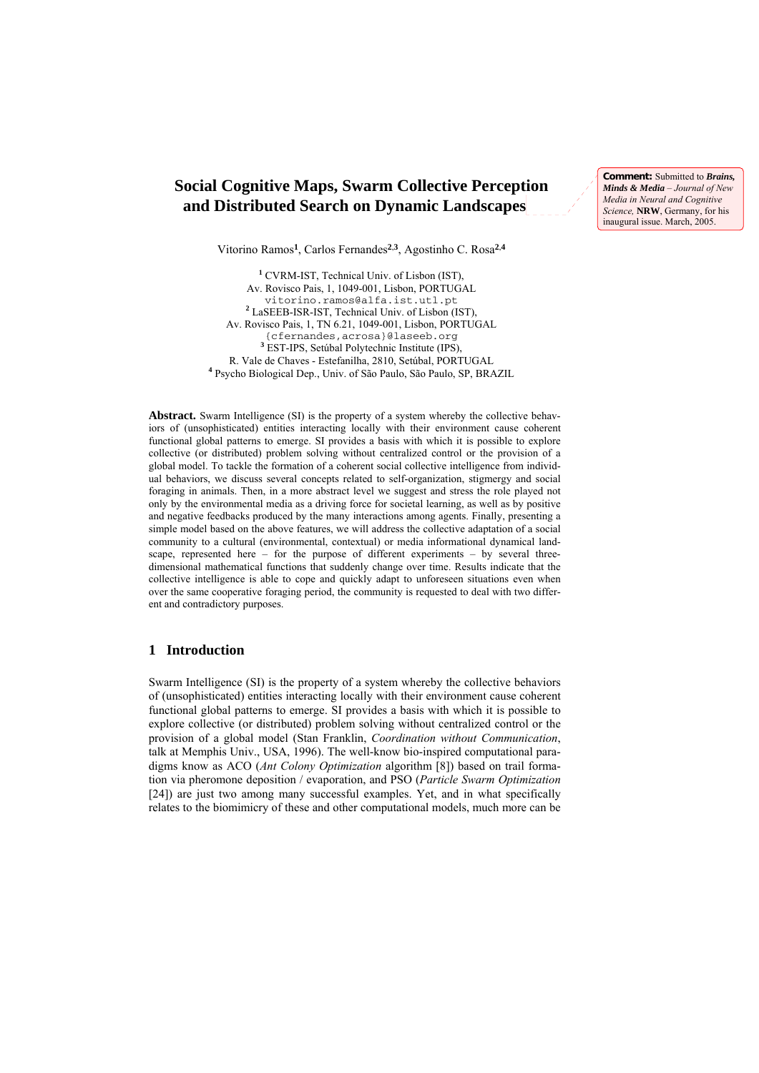# **Social Cognitive Maps, Swarm Collective Perception and Distributed Search on Dynamic Landscapes**

**Comment:** Submitted to *Brains, Minds & Media* – *Journal of New Media in Neural and Cognitive Science,* **NRW**, Germany, for his inaugural issue. March, 2005.

Vitorino Ramos**1**, Carlos Fernandes**2**,**3**, Agostinho C. Rosa**2**,**<sup>4</sup>**

**1** CVRM-IST, Technical Univ. of Lisbon (IST), Av. Rovisco Pais, 1, 1049-001, Lisbon, PORTUGAL vitorino.ramos@alfa.ist.utl.pt **<sup>2</sup>** LaSEEB-ISR-IST, Technical Univ. of Lisbon (IST), Av. Rovisco Pais, 1, TN 6.21, 1049-001, Lisbon, PORTUGAL {cfernandes,acrosa}@laseeb.org **3** EST-IPS, Setúbal Polytechnic Institute (IPS), R. Vale de Chaves - Estefanilha, 2810, Setúbal, PORTUGAL **4** Psycho Biological Dep., Univ. of São Paulo, São Paulo, SP, BRAZIL

Abstract. Swarm Intelligence (SI) is the property of a system whereby the collective behaviors of (unsophisticated) entities interacting locally with their environment cause coherent functional global patterns to emerge. SI provides a basis with which it is possible to explore collective (or distributed) problem solving without centralized control or the provision of a global model. To tackle the formation of a coherent social collective intelligence from individual behaviors, we discuss several concepts related to self-organization, stigmergy and social foraging in animals. Then, in a more abstract level we suggest and stress the role played not only by the environmental media as a driving force for societal learning, as well as by positive and negative feedbacks produced by the many interactions among agents. Finally, presenting a simple model based on the above features, we will address the collective adaptation of a social community to a cultural (environmental, contextual) or media informational dynamical landscape, represented here – for the purpose of different experiments – by several threedimensional mathematical functions that suddenly change over time. Results indicate that the collective intelligence is able to cope and quickly adapt to unforeseen situations even when over the same cooperative foraging period, the community is requested to deal with two different and contradictory purposes.

### **1 Introduction**

Swarm Intelligence (SI) is the property of a system whereby the collective behaviors of (unsophisticated) entities interacting locally with their environment cause coherent functional global patterns to emerge. SI provides a basis with which it is possible to explore collective (or distributed) problem solving without centralized control or the provision of a global model (Stan Franklin, *Coordination without Communication*, talk at Memphis Univ., USA, 1996). The well-know bio-inspired computational paradigms know as ACO (*Ant Colony Optimization* algorithm [8]) based on trail formation via pheromone deposition / evaporation, and PSO (*Particle Swarm Optimization* [24]) are just two among many successful examples. Yet, and in what specifically relates to the biomimicry of these and other computational models, much more can be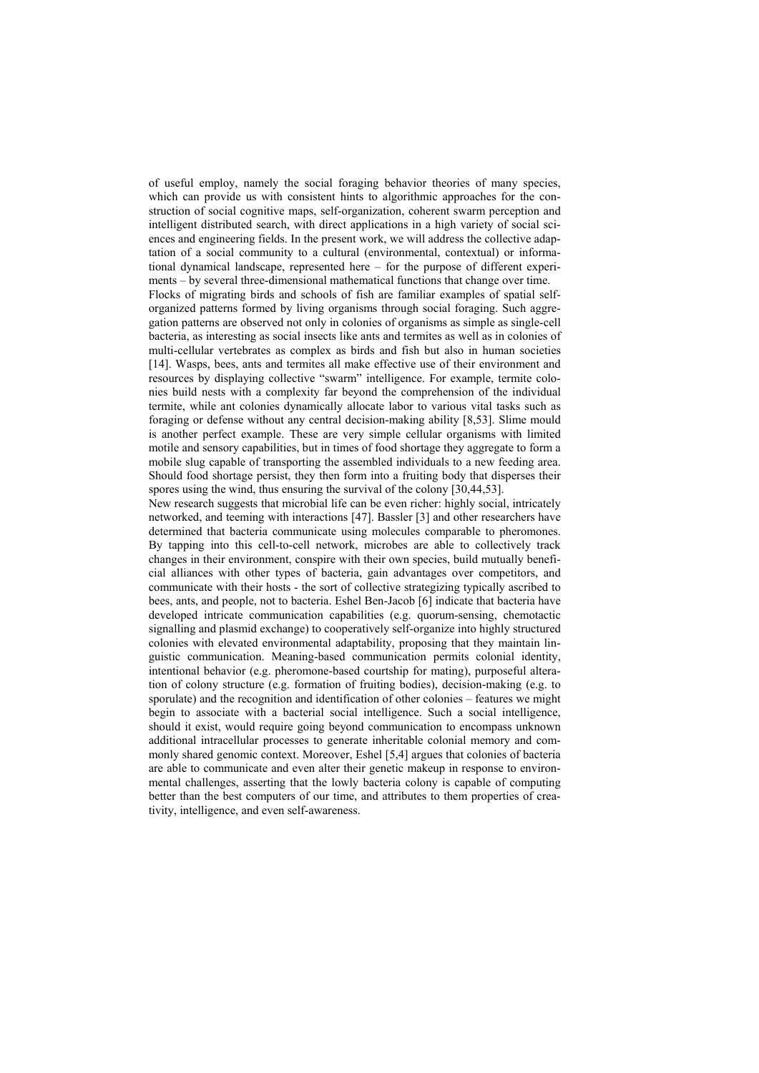of useful employ, namely the social foraging behavior theories of many species, which can provide us with consistent hints to algorithmic approaches for the construction of social cognitive maps, self-organization, coherent swarm perception and intelligent distributed search, with direct applications in a high variety of social sciences and engineering fields. In the present work, we will address the collective adaptation of a social community to a cultural (environmental, contextual) or informational dynamical landscape, represented here – for the purpose of different experiments – by several three-dimensional mathematical functions that change over time. Flocks of migrating birds and schools of fish are familiar examples of spatial selforganized patterns formed by living organisms through social foraging. Such aggregation patterns are observed not only in colonies of organisms as simple as single-cell bacteria, as interesting as social insects like ants and termites as well as in colonies of multi-cellular vertebrates as complex as birds and fish but also in human societies [14]. Wasps, bees, ants and termites all make effective use of their environment and resources by displaying collective "swarm" intelligence. For example, termite colonies build nests with a complexity far beyond the comprehension of the individual termite, while ant colonies dynamically allocate labor to various vital tasks such as foraging or defense without any central decision-making ability [8,53]. Slime mould is another perfect example. These are very simple cellular organisms with limited motile and sensory capabilities, but in times of food shortage they aggregate to form a mobile slug capable of transporting the assembled individuals to a new feeding area. Should food shortage persist, they then form into a fruiting body that disperses their spores using the wind, thus ensuring the survival of the colony [30,44,53].

New research suggests that microbial life can be even richer: highly social, intricately networked, and teeming with interactions [47]. Bassler [3] and other researchers have determined that bacteria communicate using molecules comparable to pheromones. By tapping into this cell-to-cell network, microbes are able to collectively track changes in their environment, conspire with their own species, build mutually beneficial alliances with other types of bacteria, gain advantages over competitors, and communicate with their hosts - the sort of collective strategizing typically ascribed to bees, ants, and people, not to bacteria. Eshel Ben-Jacob [6] indicate that bacteria have developed intricate communication capabilities (e.g. quorum-sensing, chemotactic signalling and plasmid exchange) to cooperatively self-organize into highly structured colonies with elevated environmental adaptability, proposing that they maintain linguistic communication. Meaning-based communication permits colonial identity, intentional behavior (e.g. pheromone-based courtship for mating), purposeful alteration of colony structure (e.g. formation of fruiting bodies), decision-making (e.g. to sporulate) and the recognition and identification of other colonies – features we might begin to associate with a bacterial social intelligence. Such a social intelligence, should it exist, would require going beyond communication to encompass unknown additional intracellular processes to generate inheritable colonial memory and commonly shared genomic context. Moreover, Eshel [5,4] argues that colonies of bacteria are able to communicate and even alter their genetic makeup in response to environmental challenges, asserting that the lowly bacteria colony is capable of computing better than the best computers of our time, and attributes to them properties of creativity, intelligence, and even self-awareness.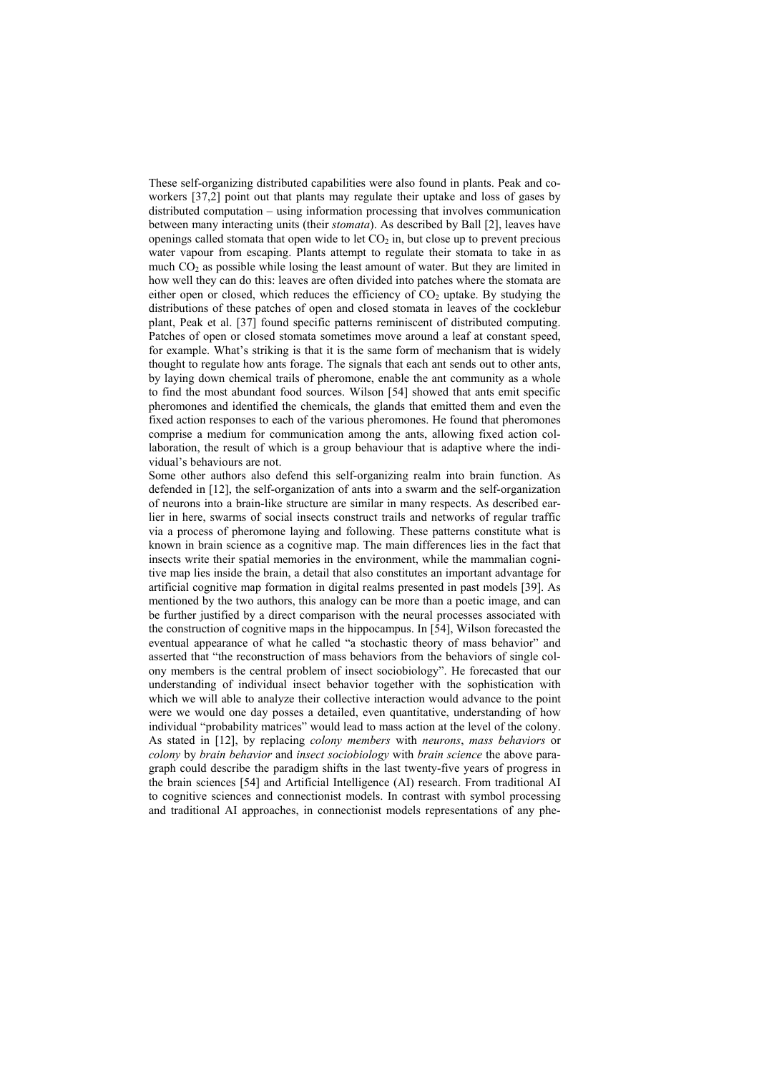These self-organizing distributed capabilities were also found in plants. Peak and coworkers [37,2] point out that plants may regulate their uptake and loss of gases by distributed computation – using information processing that involves communication between many interacting units (their *stomata*). As described by Ball [2], leaves have openings called stomata that open wide to let  $CO<sub>2</sub>$  in, but close up to prevent precious water vapour from escaping. Plants attempt to regulate their stomata to take in as much  $CO<sub>2</sub>$  as possible while losing the least amount of water. But they are limited in how well they can do this: leaves are often divided into patches where the stomata are either open or closed, which reduces the efficiency of  $CO<sub>2</sub>$  uptake. By studying the distributions of these patches of open and closed stomata in leaves of the cocklebur plant, Peak et al. [37] found specific patterns reminiscent of distributed computing. Patches of open or closed stomata sometimes move around a leaf at constant speed, for example. What's striking is that it is the same form of mechanism that is widely thought to regulate how ants forage. The signals that each ant sends out to other ants, by laying down chemical trails of pheromone, enable the ant community as a whole to find the most abundant food sources. Wilson [54] showed that ants emit specific pheromones and identified the chemicals, the glands that emitted them and even the fixed action responses to each of the various pheromones. He found that pheromones comprise a medium for communication among the ants, allowing fixed action collaboration, the result of which is a group behaviour that is adaptive where the individual's behaviours are not.

Some other authors also defend this self-organizing realm into brain function. As defended in [12], the self-organization of ants into a swarm and the self-organization of neurons into a brain-like structure are similar in many respects. As described earlier in here, swarms of social insects construct trails and networks of regular traffic via a process of pheromone laying and following. These patterns constitute what is known in brain science as a cognitive map. The main differences lies in the fact that insects write their spatial memories in the environment, while the mammalian cognitive map lies inside the brain, a detail that also constitutes an important advantage for artificial cognitive map formation in digital realms presented in past models [39]. As mentioned by the two authors, this analogy can be more than a poetic image, and can be further justified by a direct comparison with the neural processes associated with the construction of cognitive maps in the hippocampus. In [54], Wilson forecasted the eventual appearance of what he called "a stochastic theory of mass behavior" and asserted that "the reconstruction of mass behaviors from the behaviors of single colony members is the central problem of insect sociobiology". He forecasted that our understanding of individual insect behavior together with the sophistication with which we will able to analyze their collective interaction would advance to the point were we would one day posses a detailed, even quantitative, understanding of how individual "probability matrices" would lead to mass action at the level of the colony. As stated in [12], by replacing *colony members* with *neurons*, *mass behaviors* or *colony* by *brain behavior* and *insect sociobiology* with *brain science* the above paragraph could describe the paradigm shifts in the last twenty-five years of progress in the brain sciences [54] and Artificial Intelligence (AI) research. From traditional AI to cognitive sciences and connectionist models. In contrast with symbol processing and traditional AI approaches, in connectionist models representations of any phe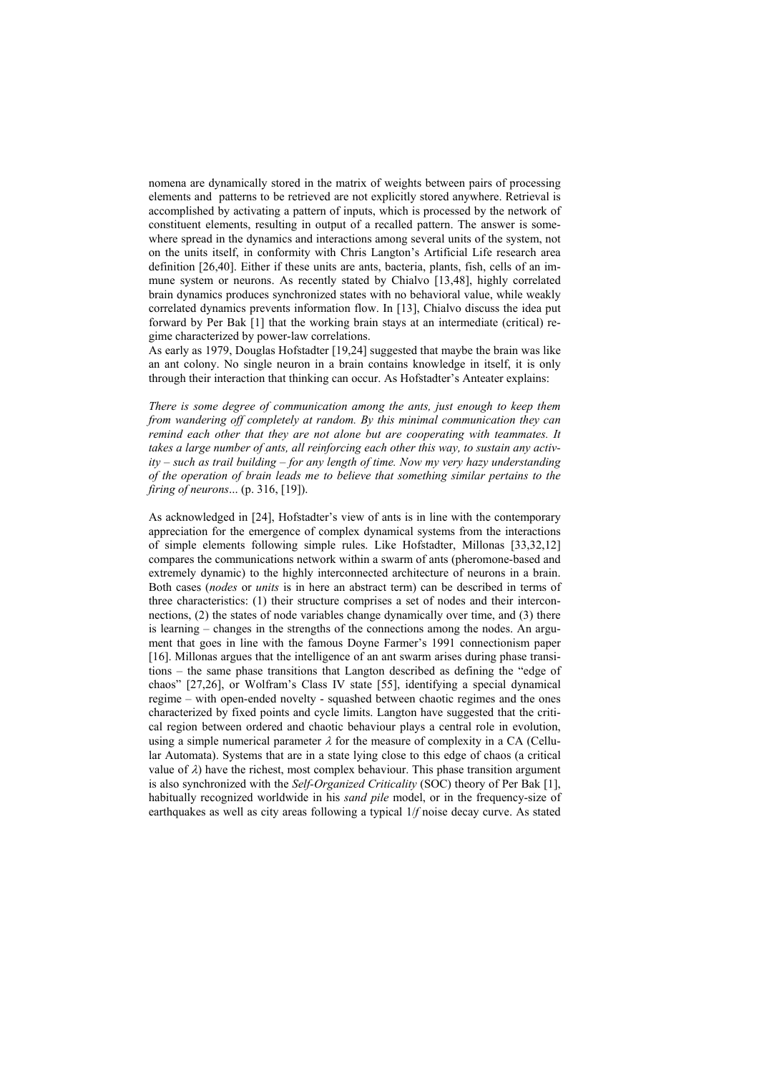nomena are dynamically stored in the matrix of weights between pairs of processing elements and patterns to be retrieved are not explicitly stored anywhere. Retrieval is accomplished by activating a pattern of inputs, which is processed by the network of constituent elements, resulting in output of a recalled pattern. The answer is somewhere spread in the dynamics and interactions among several units of the system, not on the units itself, in conformity with Chris Langton's Artificial Life research area definition [26,40]. Either if these units are ants, bacteria, plants, fish, cells of an immune system or neurons. As recently stated by Chialvo [13,48], highly correlated brain dynamics produces synchronized states with no behavioral value, while weakly correlated dynamics prevents information flow. In [13], Chialvo discuss the idea put forward by Per Bak [1] that the working brain stays at an intermediate (critical) regime characterized by power-law correlations.

As early as 1979, Douglas Hofstadter [19,24] suggested that maybe the brain was like an ant colony. No single neuron in a brain contains knowledge in itself, it is only through their interaction that thinking can occur. As Hofstadter's Anteater explains:

*There is some degree of communication among the ants, just enough to keep them from wandering off completely at random. By this minimal communication they can remind each other that they are not alone but are cooperating with teammates. It takes a large number of ants, all reinforcing each other this way, to sustain any activity – such as trail building – for any length of time. Now my very hazy understanding of the operation of brain leads me to believe that something similar pertains to the firing of neurons*... (p. 316, [19]).

As acknowledged in [24], Hofstadter's view of ants is in line with the contemporary appreciation for the emergence of complex dynamical systems from the interactions of simple elements following simple rules. Like Hofstadter, Millonas [33,32,12] compares the communications network within a swarm of ants (pheromone-based and extremely dynamic) to the highly interconnected architecture of neurons in a brain. Both cases (*nodes* or *units* is in here an abstract term) can be described in terms of three characteristics: (1) their structure comprises a set of nodes and their interconnections, (2) the states of node variables change dynamically over time, and (3) there is learning – changes in the strengths of the connections among the nodes. An argument that goes in line with the famous Doyne Farmer's 1991 connectionism paper [16]. Millonas argues that the intelligence of an ant swarm arises during phase transitions – the same phase transitions that Langton described as defining the "edge of chaos" [27,26], or Wolfram's Class IV state [55], identifying a special dynamical regime – with open-ended novelty - squashed between chaotic regimes and the ones characterized by fixed points and cycle limits. Langton have suggested that the critical region between ordered and chaotic behaviour plays a central role in evolution, using a simple numerical parameter  $\lambda$  for the measure of complexity in a CA (Cellular Automata). Systems that are in a state lying close to this edge of chaos (a critical value of  $\lambda$ ) have the richest, most complex behaviour. This phase transition argument is also synchronized with the *Self-Organized Criticality* (SOC) theory of Per Bak [1], habitually recognized worldwide in his *sand pile* model, or in the frequency-size of earthquakes as well as city areas following a typical 1/*f* noise decay curve. As stated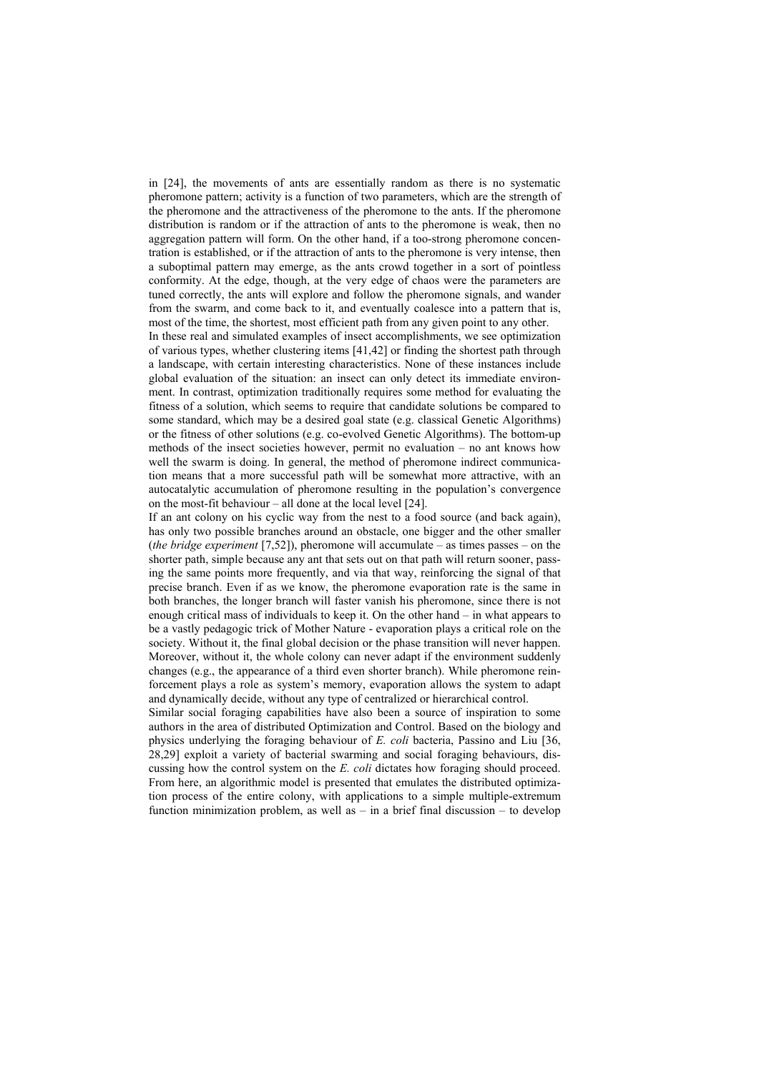in [24], the movements of ants are essentially random as there is no systematic pheromone pattern; activity is a function of two parameters, which are the strength of the pheromone and the attractiveness of the pheromone to the ants. If the pheromone distribution is random or if the attraction of ants to the pheromone is weak, then no aggregation pattern will form. On the other hand, if a too-strong pheromone concentration is established, or if the attraction of ants to the pheromone is very intense, then a suboptimal pattern may emerge, as the ants crowd together in a sort of pointless conformity. At the edge, though, at the very edge of chaos were the parameters are tuned correctly, the ants will explore and follow the pheromone signals, and wander from the swarm, and come back to it, and eventually coalesce into a pattern that is, most of the time, the shortest, most efficient path from any given point to any other.

In these real and simulated examples of insect accomplishments, we see optimization of various types, whether clustering items [41,42] or finding the shortest path through a landscape, with certain interesting characteristics. None of these instances include global evaluation of the situation: an insect can only detect its immediate environment. In contrast, optimization traditionally requires some method for evaluating the fitness of a solution, which seems to require that candidate solutions be compared to some standard, which may be a desired goal state (e.g. classical Genetic Algorithms) or the fitness of other solutions (e.g. co-evolved Genetic Algorithms). The bottom-up methods of the insect societies however, permit no evaluation – no ant knows how well the swarm is doing. In general, the method of pheromone indirect communication means that a more successful path will be somewhat more attractive, with an autocatalytic accumulation of pheromone resulting in the population's convergence on the most-fit behaviour – all done at the local level [24].

If an ant colony on his cyclic way from the nest to a food source (and back again), has only two possible branches around an obstacle, one bigger and the other smaller (*the bridge experiment* [7,52]), pheromone will accumulate – as times passes – on the shorter path, simple because any ant that sets out on that path will return sooner, passing the same points more frequently, and via that way, reinforcing the signal of that precise branch. Even if as we know, the pheromone evaporation rate is the same in both branches, the longer branch will faster vanish his pheromone, since there is not enough critical mass of individuals to keep it. On the other hand – in what appears to be a vastly pedagogic trick of Mother Nature - evaporation plays a critical role on the society. Without it, the final global decision or the phase transition will never happen. Moreover, without it, the whole colony can never adapt if the environment suddenly changes (e.g., the appearance of a third even shorter branch). While pheromone reinforcement plays a role as system's memory, evaporation allows the system to adapt and dynamically decide, without any type of centralized or hierarchical control.

Similar social foraging capabilities have also been a source of inspiration to some authors in the area of distributed Optimization and Control. Based on the biology and physics underlying the foraging behaviour of *E. coli* bacteria, Passino and Liu [36, 28,29] exploit a variety of bacterial swarming and social foraging behaviours, discussing how the control system on the *E. coli* dictates how foraging should proceed. From here, an algorithmic model is presented that emulates the distributed optimization process of the entire colony, with applications to a simple multiple-extremum function minimization problem, as well as  $-$  in a brief final discussion  $-$  to develop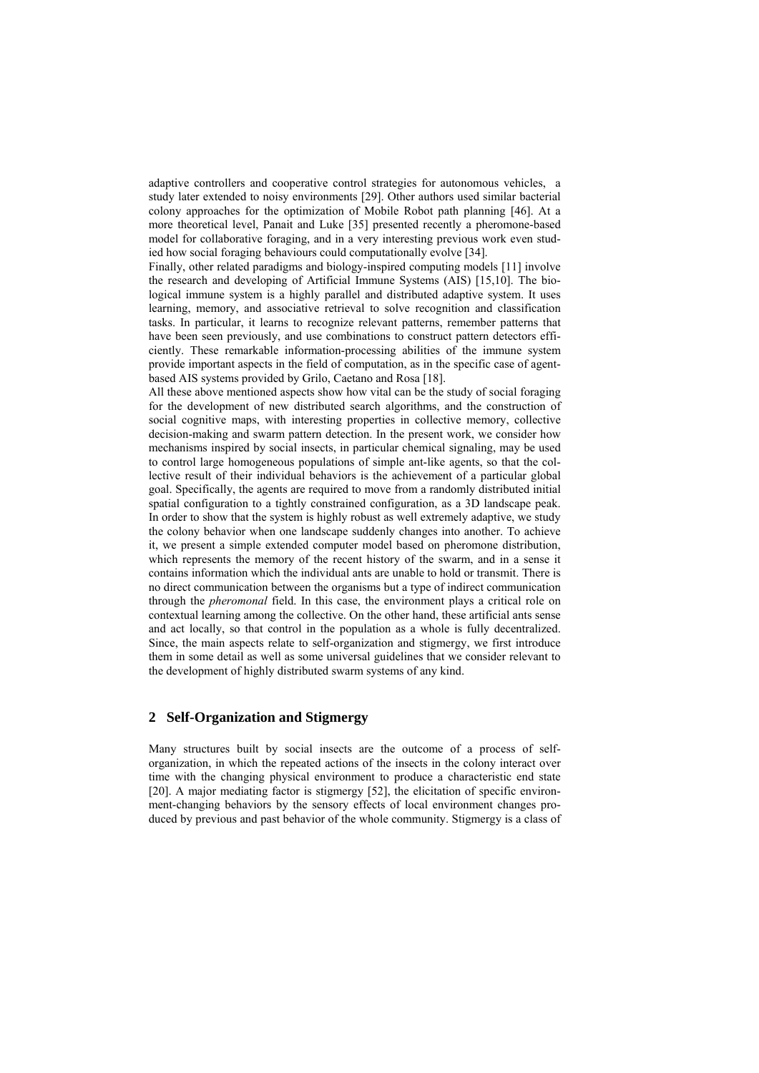adaptive controllers and cooperative control strategies for autonomous vehicles, a study later extended to noisy environments [29]. Other authors used similar bacterial colony approaches for the optimization of Mobile Robot path planning [46]. At a more theoretical level, Panait and Luke [35] presented recently a pheromone-based model for collaborative foraging, and in a very interesting previous work even studied how social foraging behaviours could computationally evolve [34].

Finally, other related paradigms and biology-inspired computing models [11] involve the research and developing of Artificial Immune Systems (AIS) [15,10]. The biological immune system is a highly parallel and distributed adaptive system. It uses learning, memory, and associative retrieval to solve recognition and classification tasks. In particular, it learns to recognize relevant patterns, remember patterns that have been seen previously, and use combinations to construct pattern detectors efficiently. These remarkable information-processing abilities of the immune system provide important aspects in the field of computation, as in the specific case of agentbased AIS systems provided by Grilo, Caetano and Rosa [18].

All these above mentioned aspects show how vital can be the study of social foraging for the development of new distributed search algorithms, and the construction of social cognitive maps, with interesting properties in collective memory, collective decision-making and swarm pattern detection. In the present work, we consider how mechanisms inspired by social insects, in particular chemical signaling, may be used to control large homogeneous populations of simple ant-like agents, so that the collective result of their individual behaviors is the achievement of a particular global goal. Specifically, the agents are required to move from a randomly distributed initial spatial configuration to a tightly constrained configuration, as a 3D landscape peak. In order to show that the system is highly robust as well extremely adaptive, we study the colony behavior when one landscape suddenly changes into another. To achieve it, we present a simple extended computer model based on pheromone distribution, which represents the memory of the recent history of the swarm, and in a sense it contains information which the individual ants are unable to hold or transmit. There is no direct communication between the organisms but a type of indirect communication through the *pheromonal* field. In this case, the environment plays a critical role on contextual learning among the collective. On the other hand, these artificial ants sense and act locally, so that control in the population as a whole is fully decentralized. Since, the main aspects relate to self-organization and stigmergy, we first introduce them in some detail as well as some universal guidelines that we consider relevant to the development of highly distributed swarm systems of any kind.

## **2 Self-Organization and Stigmergy**

Many structures built by social insects are the outcome of a process of selforganization, in which the repeated actions of the insects in the colony interact over time with the changing physical environment to produce a characteristic end state [20]. A major mediating factor is stigmergy [52], the elicitation of specific environment-changing behaviors by the sensory effects of local environment changes produced by previous and past behavior of the whole community. Stigmergy is a class of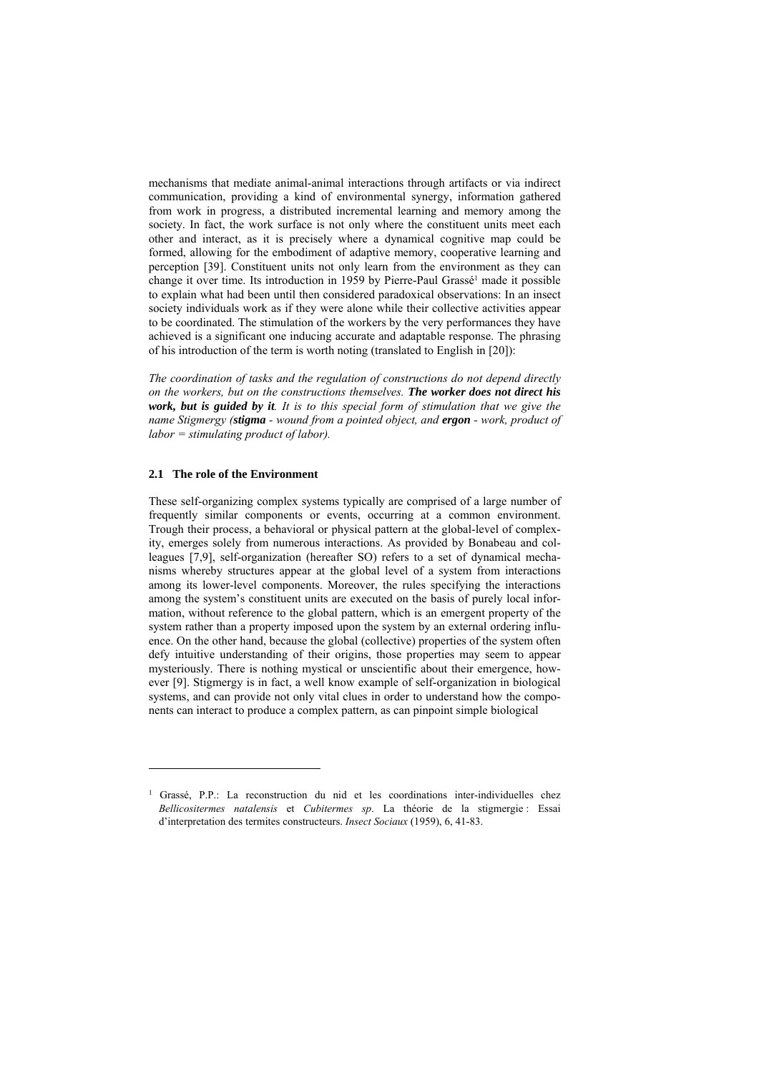mechanisms that mediate animal-animal interactions through artifacts or via indirect communication, providing a kind of environmental synergy, information gathered from work in progress, a distributed incremental learning and memory among the society. In fact, the work surface is not only where the constituent units meet each other and interact, as it is precisely where a dynamical cognitive map could be formed, allowing for the embodiment of adaptive memory, cooperative learning and perception [39]. Constituent units not only learn from the environment as they can change it over time. Its introduction in 1959 by Pierre-Paul Grassé<sup>1</sup> made it possible to explain what had been until then considered paradoxical observations: In an insect society individuals work as if they were alone while their collective activities appear to be coordinated. The stimulation of the workers by the very performances they have achieved is a significant one inducing accurate and adaptable response. The phrasing of his introduction of the term is worth noting (translated to English in [20]):

*The coordination of tasks and the regulation of constructions do not depend directly on the workers, but on the constructions themselves. The worker does not direct his work, but is guided by it. It is to this special form of stimulation that we give the name Stigmergy (stigma - wound from a pointed object, and ergon - work, product of labor = stimulating product of labor).* 

#### **2.1 The role of the Environment**

-

These self-organizing complex systems typically are comprised of a large number of frequently similar components or events, occurring at a common environment. Trough their process, a behavioral or physical pattern at the global-level of complexity, emerges solely from numerous interactions. As provided by Bonabeau and colleagues [7,9], self-organization (hereafter SO) refers to a set of dynamical mechanisms whereby structures appear at the global level of a system from interactions among its lower-level components. Moreover, the rules specifying the interactions among the system's constituent units are executed on the basis of purely local information, without reference to the global pattern, which is an emergent property of the system rather than a property imposed upon the system by an external ordering influence. On the other hand, because the global (collective) properties of the system often defy intuitive understanding of their origins, those properties may seem to appear mysteriously. There is nothing mystical or unscientific about their emergence, however [9]. Stigmergy is in fact, a well know example of self-organization in biological systems, and can provide not only vital clues in order to understand how the components can interact to produce a complex pattern, as can pinpoint simple biological

<sup>&</sup>lt;sup>1</sup> Grassé, P.P.: La reconstruction du nid et les coordinations inter-individuelles chez *Bellicositermes natalensis* et *Cubitermes sp*. La théorie de la stigmergie : Essai d'interpretation des termites constructeurs. *Insect Sociaux* (1959), 6, 41-83.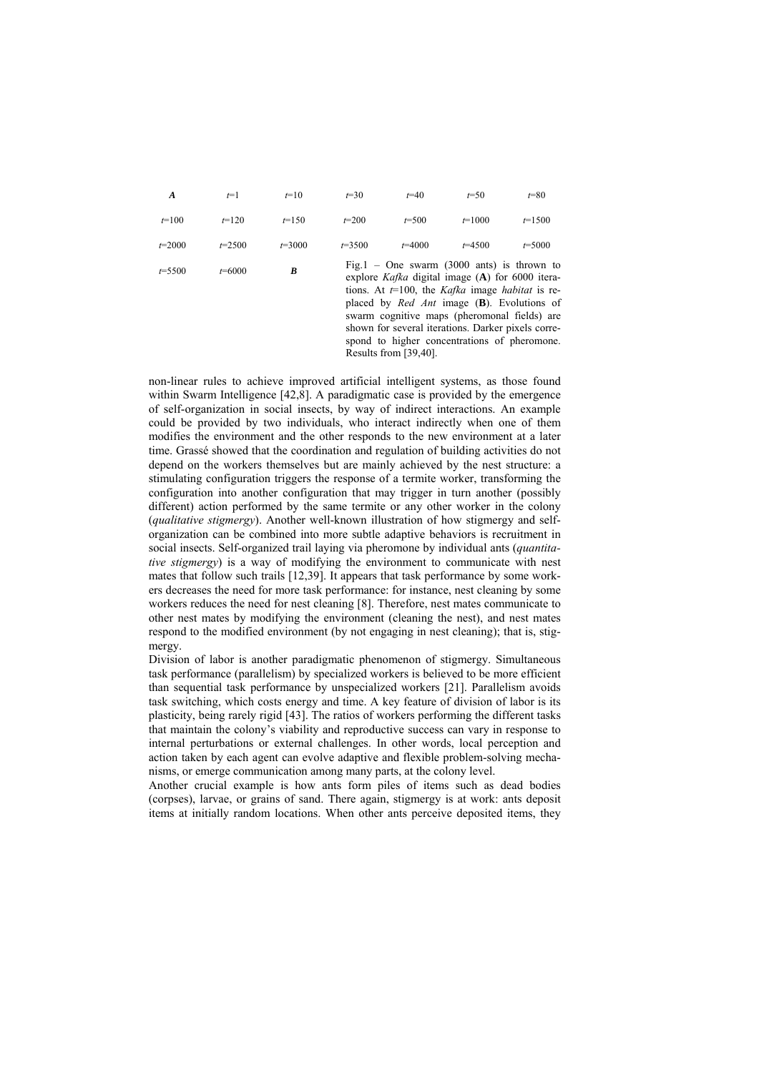| $\boldsymbol{A}$ | $t=1$      | $t=10$     | $t = 30$   | $t=40$                                                                                                                                                                                                                                                                                                                                                                                                        | $t = 50$   | $t = 80$   |
|------------------|------------|------------|------------|---------------------------------------------------------------------------------------------------------------------------------------------------------------------------------------------------------------------------------------------------------------------------------------------------------------------------------------------------------------------------------------------------------------|------------|------------|
| $t=100$          | $t=120$    | $t=150$    | $t=200$    | $t = 500$                                                                                                                                                                                                                                                                                                                                                                                                     | $t=1000$   | $t=1500$   |
| $t = 2000$       | $t = 2500$ | $t = 3000$ | $t = 3500$ | $t=4000$                                                                                                                                                                                                                                                                                                                                                                                                      | $t = 4500$ | $t = 5000$ |
| $t = 5500$       | $t = 6000$ | B          |            | Fig. $1 -$ One swarm (3000 ants) is thrown to<br>explore Kafka digital image $(A)$ for 6000 itera-<br>tions. At $t=100$ , the <i>Kafka</i> image <i>habitat</i> is re-<br>placed by <i>Red Ant</i> image $(B)$ . Evolutions of<br>swarm cognitive maps (pheromonal fields) are<br>shown for several iterations. Darker pixels corre-<br>spond to higher concentrations of pheromone.<br>Results from [39,40]. |            |            |

non-linear rules to achieve improved artificial intelligent systems, as those found within Swarm Intelligence [42,8]. A paradigmatic case is provided by the emergence of self-organization in social insects, by way of indirect interactions. An example could be provided by two individuals, who interact indirectly when one of them modifies the environment and the other responds to the new environment at a later time. Grassé showed that the coordination and regulation of building activities do not depend on the workers themselves but are mainly achieved by the nest structure: a stimulating configuration triggers the response of a termite worker, transforming the configuration into another configuration that may trigger in turn another (possibly different) action performed by the same termite or any other worker in the colony (*qualitative stigmergy*). Another well-known illustration of how stigmergy and selforganization can be combined into more subtle adaptive behaviors is recruitment in social insects. Self-organized trail laying via pheromone by individual ants (*quantitative stigmergy*) is a way of modifying the environment to communicate with nest mates that follow such trails [12,39]. It appears that task performance by some workers decreases the need for more task performance: for instance, nest cleaning by some workers reduces the need for nest cleaning [8]. Therefore, nest mates communicate to other nest mates by modifying the environment (cleaning the nest), and nest mates respond to the modified environment (by not engaging in nest cleaning); that is, stigmergy.

Division of labor is another paradigmatic phenomenon of stigmergy. Simultaneous task performance (parallelism) by specialized workers is believed to be more efficient than sequential task performance by unspecialized workers [21]. Parallelism avoids task switching, which costs energy and time. A key feature of division of labor is its plasticity, being rarely rigid [43]. The ratios of workers performing the different tasks that maintain the colony's viability and reproductive success can vary in response to internal perturbations or external challenges. In other words, local perception and action taken by each agent can evolve adaptive and flexible problem-solving mechanisms, or emerge communication among many parts, at the colony level.

Another crucial example is how ants form piles of items such as dead bodies (corpses), larvae, or grains of sand. There again, stigmergy is at work: ants deposit items at initially random locations. When other ants perceive deposited items, they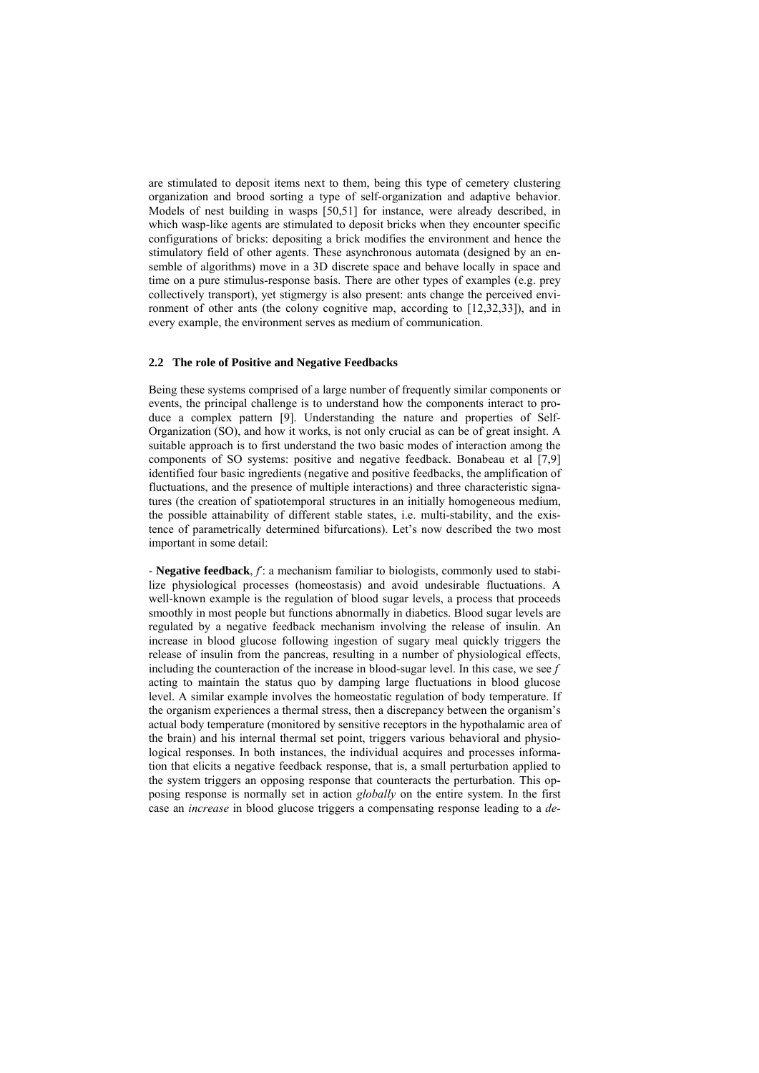are stimulated to deposit items next to them, being this type of cemetery clustering organization and brood sorting a type of self-organization and adaptive behavior. Models of nest building in wasps [50,51] for instance, were already described, in which wasp-like agents are stimulated to deposit bricks when they encounter specific configurations of bricks: depositing a brick modifies the environment and hence the stimulatory field of other agents. These asynchronous automata (designed by an ensemble of algorithms) move in a 3D discrete space and behave locally in space and time on a pure stimulus-response basis. There are other types of examples (e.g. prey collectively transport), yet stigmergy is also present: ants change the perceived environment of other ants (the colony cognitive map, according to [12,32,33]), and in every example, the environment serves as medium of communication.

#### **2.2 The role of Positive and Negative Feedbacks**

Being these systems comprised of a large number of frequently similar components or events, the principal challenge is to understand how the components interact to produce a complex pattern [9]. Understanding the nature and properties of Self-Organization (SO), and how it works, is not only crucial as can be of great insight. A suitable approach is to first understand the two basic modes of interaction among the components of SO systems: positive and negative feedback. Bonabeau et al [7,9] identified four basic ingredients (negative and positive feedbacks, the amplification of fluctuations, and the presence of multiple interactions) and three characteristic signatures (the creation of spatiotemporal structures in an initially homogeneous medium, the possible attainability of different stable states, i.e. multi-stability, and the existence of parametrically determined bifurcations). Let's now described the two most important in some detail:

- **Negative feedback**, *f -* : a mechanism familiar to biologists, commonly used to stabilize physiological processes (homeostasis) and avoid undesirable fluctuations. A well-known example is the regulation of blood sugar levels, a process that proceeds smoothly in most people but functions abnormally in diabetics. Blood sugar levels are regulated by a negative feedback mechanism involving the release of insulin. An increase in blood glucose following ingestion of sugary meal quickly triggers the release of insulin from the pancreas, resulting in a number of physiological effects, including the counteraction of the increase in blood-sugar level. In this case, we see  $f$ acting to maintain the status quo by damping large fluctuations in blood glucose level. A similar example involves the homeostatic regulation of body temperature. If the organism experiences a thermal stress, then a discrepancy between the organism's actual body temperature (monitored by sensitive receptors in the hypothalamic area of the brain) and his internal thermal set point, triggers various behavioral and physiological responses. In both instances, the individual acquires and processes information that elicits a negative feedback response, that is, a small perturbation applied to the system triggers an opposing response that counteracts the perturbation. This opposing response is normally set in action *globally* on the entire system. In the first case an *increase* in blood glucose triggers a compensating response leading to a *de-*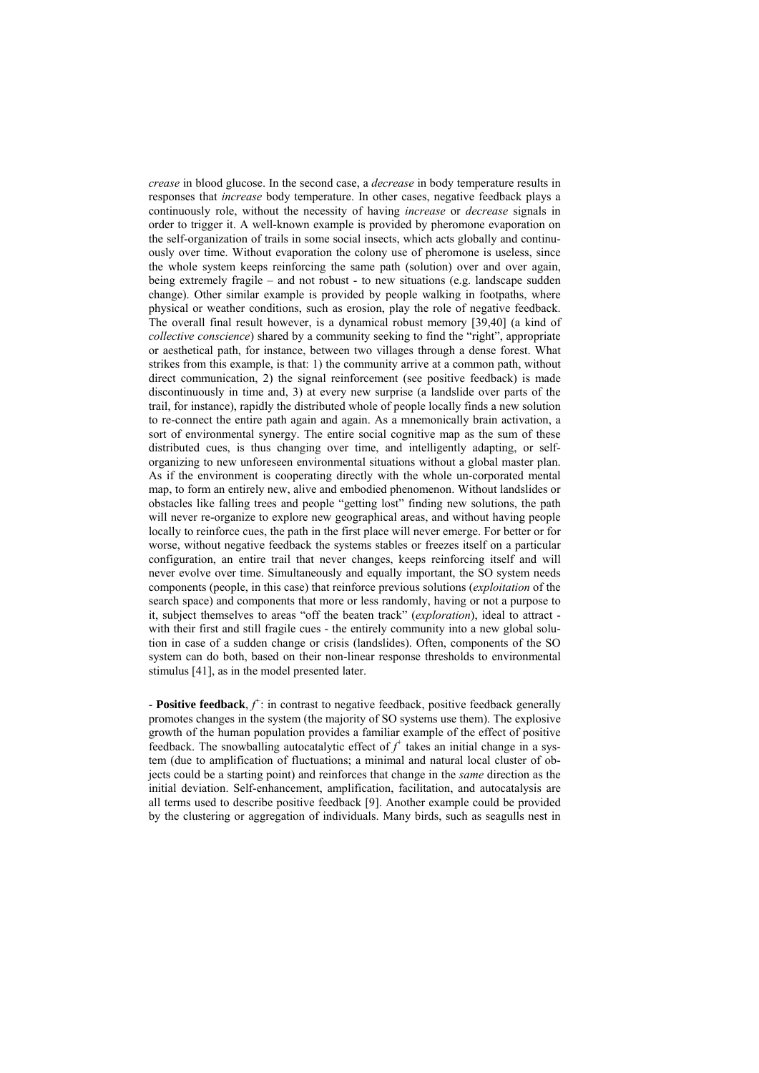*crease* in blood glucose. In the second case, a *decrease* in body temperature results in responses that *increase* body temperature. In other cases, negative feedback plays a continuously role, without the necessity of having *increase* or *decrease* signals in order to trigger it. A well-known example is provided by pheromone evaporation on the self-organization of trails in some social insects, which acts globally and continuously over time. Without evaporation the colony use of pheromone is useless, since the whole system keeps reinforcing the same path (solution) over and over again, being extremely fragile – and not robust - to new situations (e.g. landscape sudden change). Other similar example is provided by people walking in footpaths, where physical or weather conditions, such as erosion, play the role of negative feedback. The overall final result however, is a dynamical robust memory [39,40] (a kind of *collective conscience*) shared by a community seeking to find the "right", appropriate or aesthetical path, for instance, between two villages through a dense forest. What strikes from this example, is that: 1) the community arrive at a common path, without direct communication, 2) the signal reinforcement (see positive feedback) is made discontinuously in time and, 3) at every new surprise (a landslide over parts of the trail, for instance), rapidly the distributed whole of people locally finds a new solution to re-connect the entire path again and again. As a mnemonically brain activation, a sort of environmental synergy. The entire social cognitive map as the sum of these distributed cues, is thus changing over time, and intelligently adapting, or selforganizing to new unforeseen environmental situations without a global master plan. As if the environment is cooperating directly with the whole un-corporated mental map, to form an entirely new, alive and embodied phenomenon. Without landslides or obstacles like falling trees and people "getting lost" finding new solutions, the path will never re-organize to explore new geographical areas, and without having people locally to reinforce cues, the path in the first place will never emerge. For better or for worse, without negative feedback the systems stables or freezes itself on a particular configuration, an entire trail that never changes, keeps reinforcing itself and will never evolve over time. Simultaneously and equally important, the SO system needs components (people, in this case) that reinforce previous solutions (*exploitation* of the search space) and components that more or less randomly, having or not a purpose to it, subject themselves to areas "off the beaten track" (*exploration*), ideal to attract with their first and still fragile cues - the entirely community into a new global solution in case of a sudden change or crisis (landslides). Often, components of the SO system can do both, based on their non-linear response thresholds to environmental stimulus [41], as in the model presented later.

**- Positive feedback**,  $f^*$ : in contrast to negative feedback, positive feedback generally promotes changes in the system (the majority of SO systems use them). The explosive growth of the human population provides a familiar example of the effect of positive feedback. The snowballing autocatalytic effect of  $f^*$  takes an initial change in a system (due to amplification of fluctuations; a minimal and natural local cluster of objects could be a starting point) and reinforces that change in the *same* direction as the initial deviation. Self-enhancement, amplification, facilitation, and autocatalysis are all terms used to describe positive feedback [9]. Another example could be provided by the clustering or aggregation of individuals. Many birds, such as seagulls nest in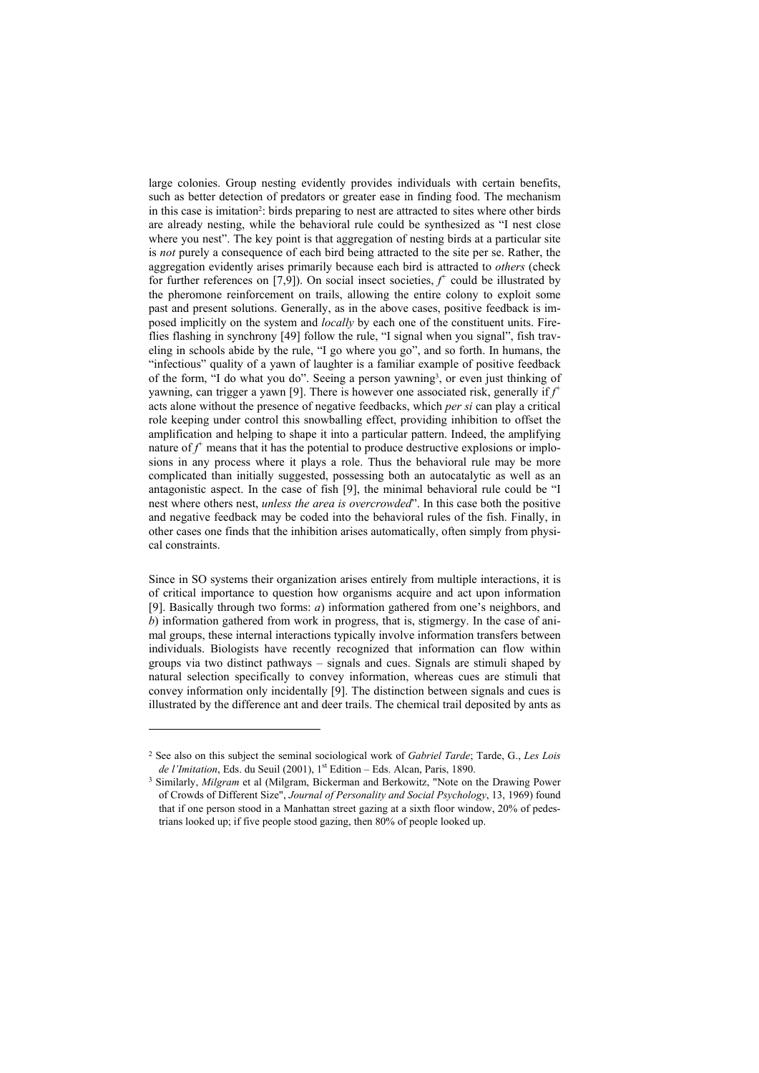large colonies. Group nesting evidently provides individuals with certain benefits, such as better detection of predators or greater ease in finding food. The mechanism in this case is imitation<sup>2</sup>: birds preparing to nest are attracted to sites where other birds are already nesting, while the behavioral rule could be synthesized as "I nest close where you nest". The key point is that aggregation of nesting birds at a particular site is *not* purely a consequence of each bird being attracted to the site per se. Rather, the aggregation evidently arises primarily because each bird is attracted to *others* (check for further references on [7,9]). On social insect societies,  $f^+$  could be illustrated by the pheromone reinforcement on trails, allowing the entire colony to exploit some past and present solutions. Generally, as in the above cases, positive feedback is imposed implicitly on the system and *locally* by each one of the constituent units. Fireflies flashing in synchrony [49] follow the rule, "I signal when you signal", fish traveling in schools abide by the rule, "I go where you go", and so forth. In humans, the "infectious" quality of a yawn of laughter is a familiar example of positive feedback of the form, "I do what you do". Seeing a person yawning<sup>3</sup>, or even just thinking of yawning, can trigger a yawn [9]. There is however one associated risk, generally if  $f^*$ acts alone without the presence of negative feedbacks, which *per si* can play a critical role keeping under control this snowballing effect, providing inhibition to offset the amplification and helping to shape it into a particular pattern. Indeed, the amplifying nature of  $f^+$  means that it has the potential to produce destructive explosions or implosions in any process where it plays a role. Thus the behavioral rule may be more complicated than initially suggested, possessing both an autocatalytic as well as an antagonistic aspect. In the case of fish [9], the minimal behavioral rule could be "I nest where others nest, *unless the area is overcrowded*". In this case both the positive and negative feedback may be coded into the behavioral rules of the fish. Finally, in other cases one finds that the inhibition arises automatically, often simply from physical constraints.

Since in SO systems their organization arises entirely from multiple interactions, it is of critical importance to question how organisms acquire and act upon information [9]. Basically through two forms: *a*) information gathered from one's neighbors, and *b*) information gathered from work in progress, that is, stigmergy. In the case of animal groups, these internal interactions typically involve information transfers between individuals. Biologists have recently recognized that information can flow within groups via two distinct pathways – signals and cues. Signals are stimuli shaped by natural selection specifically to convey information, whereas cues are stimuli that convey information only incidentally [9]. The distinction between signals and cues is illustrated by the difference ant and deer trails. The chemical trail deposited by ants as

-

<sup>2</sup> See also on this subject the seminal sociological work of *Gabriel Tarde*; Tarde, G., *Les Lois de l'Imitation*, Eds. du Seuil (2001), 1<sup>st</sup> Edition – Eds. Alcan, Paris, 1890.

<sup>&</sup>lt;sup>3</sup> Similarly, *Milgram* et al (Milgram, Bickerman and Berkowitz, "Note on the Drawing Power of Crowds of Different Size", *Journal of Personality and Social Psychology*, 13, 1969) found that if one person stood in a Manhattan street gazing at a sixth floor window, 20% of pedestrians looked up; if five people stood gazing, then 80% of people looked up.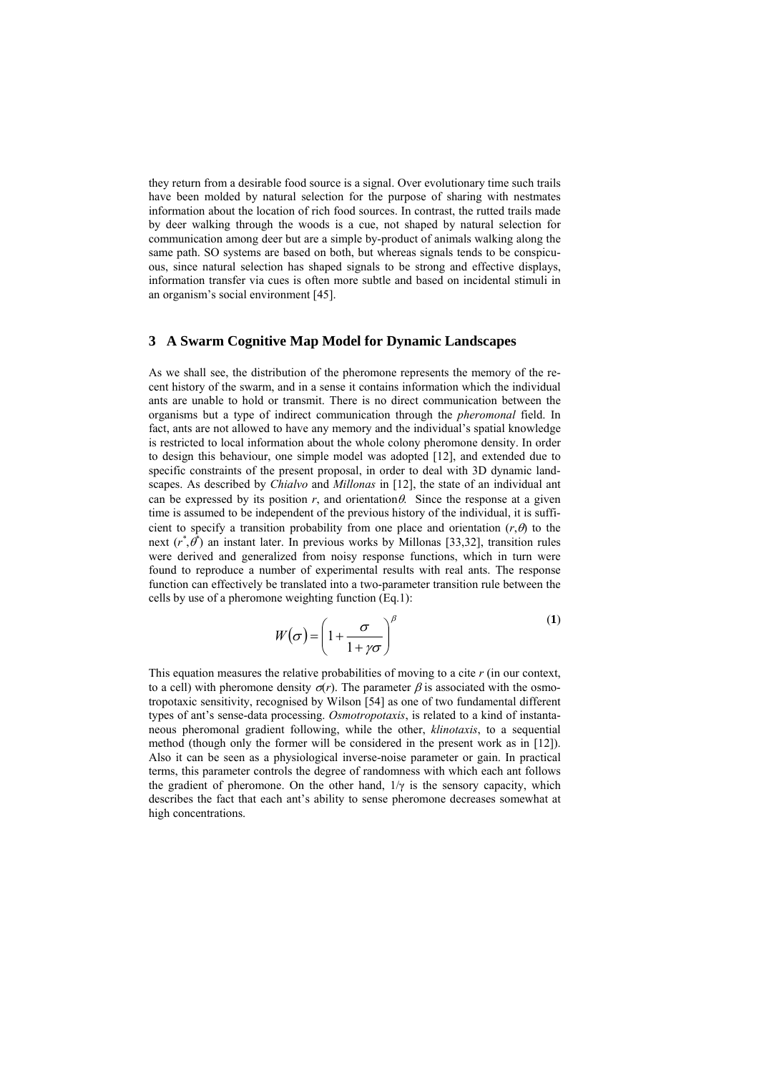they return from a desirable food source is a signal. Over evolutionary time such trails have been molded by natural selection for the purpose of sharing with nestmates information about the location of rich food sources. In contrast, the rutted trails made by deer walking through the woods is a cue, not shaped by natural selection for communication among deer but are a simple by-product of animals walking along the same path. SO systems are based on both, but whereas signals tends to be conspicuous, since natural selection has shaped signals to be strong and effective displays, information transfer via cues is often more subtle and based on incidental stimuli in an organism's social environment [45].

# **3 A Swarm Cognitive Map Model for Dynamic Landscapes**

As we shall see, the distribution of the pheromone represents the memory of the recent history of the swarm, and in a sense it contains information which the individual ants are unable to hold or transmit. There is no direct communication between the organisms but a type of indirect communication through the *pheromonal* field. In fact, ants are not allowed to have any memory and the individual's spatial knowledge is restricted to local information about the whole colony pheromone density. In order to design this behaviour, one simple model was adopted [12], and extended due to specific constraints of the present proposal, in order to deal with 3D dynamic landscapes. As described by *Chialvo* and *Millonas* in [12], the state of an individual ant can be expressed by its position  $r$ , and orientation  $\theta$ . Since the response at a given time is assumed to be independent of the previous history of the individual, it is sufficient to specify a transition probability from one place and orientation  $(r, \theta)$  to the next  $(r^*, \theta^*)$  an instant later. In previous works by Millonas [33,32], transition rules were derived and generalized from noisy response functions, which in turn were found to reproduce a number of experimental results with real ants. The response function can effectively be translated into a two-parameter transition rule between the cells by use of a pheromone weighting function (Eq.1):

$$
W(\sigma) = \left(1 + \frac{\sigma}{1 + \gamma \sigma}\right)^{\beta} \tag{1}
$$

This equation measures the relative probabilities of moving to a cite *r* (in our context, to a cell) with pheromone density  $\sigma(r)$ . The parameter  $\beta$  is associated with the osmotropotaxic sensitivity, recognised by Wilson [54] as one of two fundamental different types of ant's sense-data processing. *Osmotropotaxis*, is related to a kind of instantaneous pheromonal gradient following, while the other, *klinotaxis*, to a sequential method (though only the former will be considered in the present work as in [12]). Also it can be seen as a physiological inverse-noise parameter or gain. In practical terms, this parameter controls the degree of randomness with which each ant follows the gradient of pheromone. On the other hand,  $1/\gamma$  is the sensory capacity, which describes the fact that each ant's ability to sense pheromone decreases somewhat at high concentrations.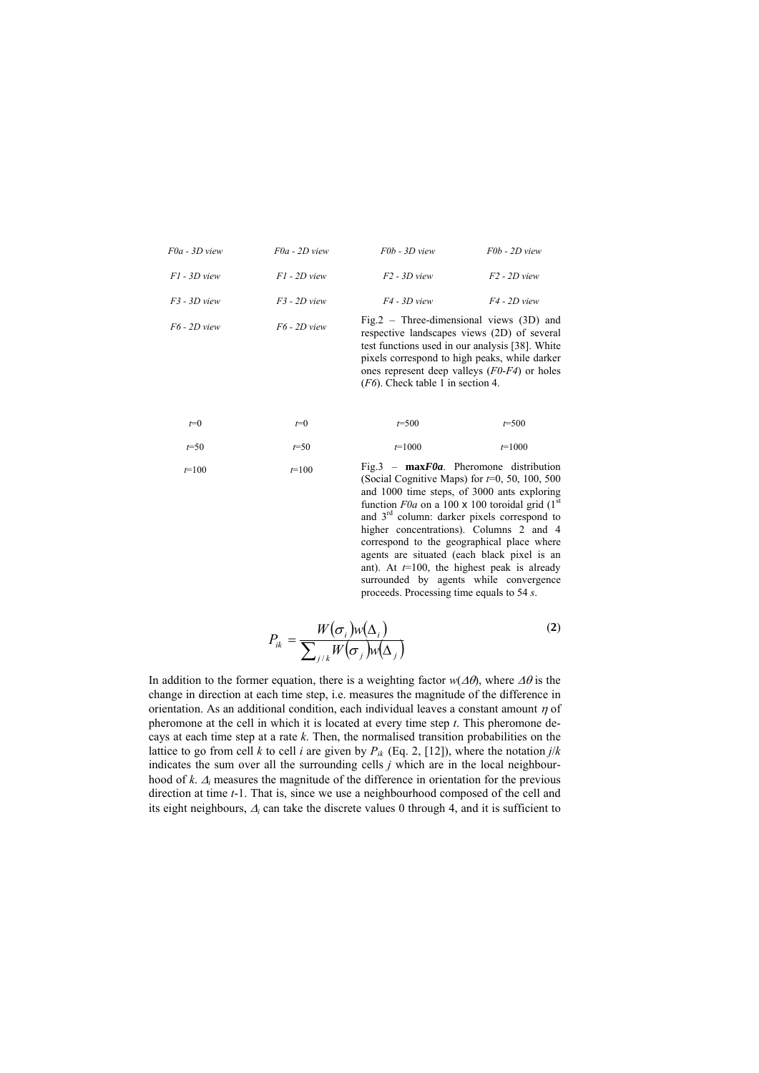| $F0a - 3D$ view | $F0a - 2D$ view | $F0b - 3D$ view                                                                            | $F0b - 2D$ view |
|-----------------|-----------------|--------------------------------------------------------------------------------------------|-----------------|
| $F1 - 3D$ view  | $F1 - 2D$ view  | $F2 - 3D$ view                                                                             | $F2 - 2D$ view  |
| $F3 - 3D$ view  | $F3 - 2D$ view  | $F4 - 3D$ view                                                                             | $F4 - 2D$ view  |
| F6 - 2D view    | $F6 - 2D$ view  | Fig. 2 – Three-dimensional views $(3D)$ and<br>respective landscapes views (2D) of several |                 |

test functions used in our analysis [38]. White pixels correspond to high peaks, while darker ones represent deep valleys (*F0*-*F4*) or holes (*F6*). Check table 1 in section 4.

| $t=100$  | $t=100$ |           | Fig.3 – $maxF0a$ . Pheromone distribution<br>$\beta$ and $\beta$ anti-re Mana) for $\pm 0.50$ 100 $\pm 0.0$ |
|----------|---------|-----------|-------------------------------------------------------------------------------------------------------------|
| $t = 50$ | $t=50$  | $t=1000$  | $t=1000$                                                                                                    |
| $t=0$    | $t=0$   | $t = 500$ | $t = 500$                                                                                                   |

(Social Cognitive Maps) for *t*=0, 50, 100, 500 and 1000 time steps, of 3000 ants exploring function  $F0a$  on a 100 x 100 toroidal grid  $(1^{\overline{5}}t)$ and 3rd column: darker pixels correspond to higher concentrations). Columns 2 and 4 correspond to the geographical place where agents are situated (each black pixel is an ant). At *t*=100, the highest peak is already surrounded by agents while convergence proceeds. Processing time equals to 54 *s*.

$$
P_{ik} = \frac{W(\sigma_i)w(\Delta_i)}{\sum_{j/k}W(\sigma_j)w(\Delta_j)}
$$
(2)

In addition to the former equation, there is a weighting factor  $w(\Delta\theta)$ , where  $\Delta\theta$  is the change in direction at each time step, i.e. measures the magnitude of the difference in orientation. As an additional condition, each individual leaves a constant amount  $\eta$  of pheromone at the cell in which it is located at every time step *t*. This pheromone decays at each time step at a rate *k*. Then, the normalised transition probabilities on the lattice to go from cell *k* to cell *i* are given by  $P_{ik}$  (Eq. 2, [12]), where the notation *j*/*k* indicates the sum over all the surrounding cells  $j$  which are in the local neighbourhood of *k*. <sup>Δ</sup>*i* measures the magnitude of the difference in orientation for the previous direction at time *t*-1. That is, since we use a neighbourhood composed of the cell and its eight neighbours, <sup>Δ</sup>*i* can take the discrete values 0 through 4, and it is sufficient to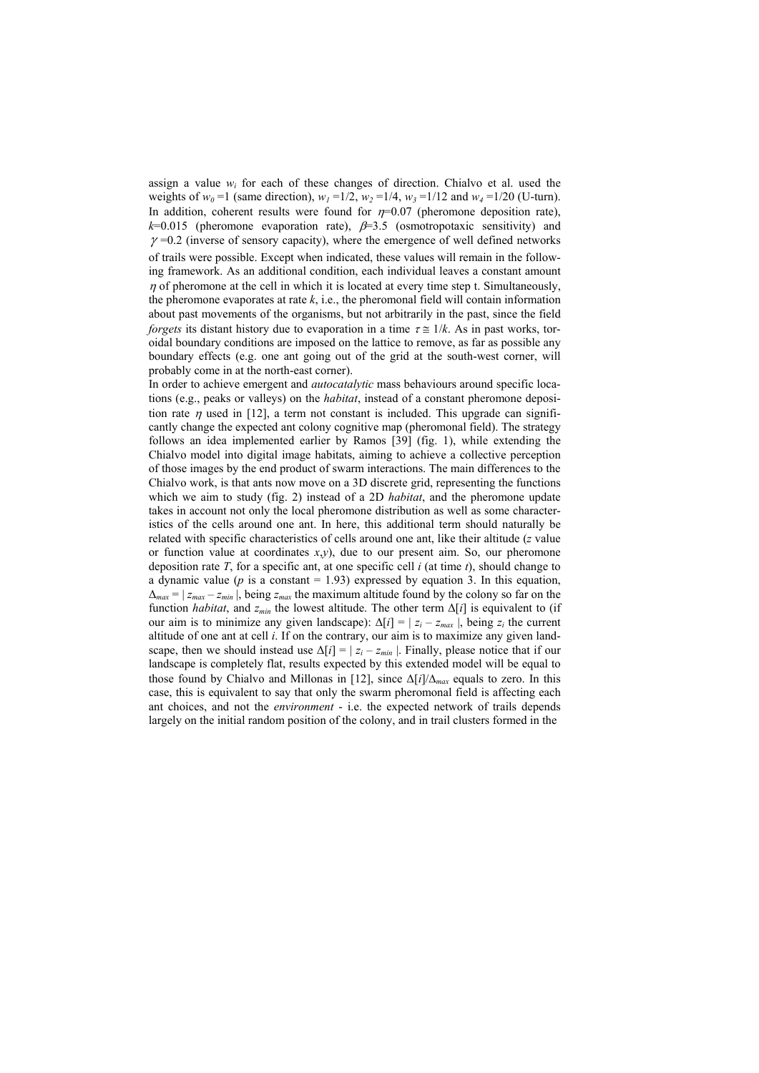assign a value  $w_i$  for each of these changes of direction. Chialvo et al. used the weights of  $w_0 = 1$  (same direction),  $w_1 = 1/2$ ,  $w_2 = 1/4$ ,  $w_3 = 1/12$  and  $w_4 = 1/20$  (U-turn). In addition, coherent results were found for  $\eta$ =0.07 (pheromone deposition rate),  $k=0.015$  (pheromone evaporation rate),  $\beta=3.5$  (osmotropotaxic sensitivity) and  $\gamma$  =0.2 (inverse of sensory capacity), where the emergence of well defined networks of trails were possible. Except when indicated, these values will remain in the following framework. As an additional condition, each individual leaves a constant amount  $\eta$  of pheromone at the cell in which it is located at every time step t. Simultaneously, the pheromone evaporates at rate  $k$ , i.e., the pheromonal field will contain information about past movements of the organisms, but not arbitrarily in the past, since the field *forgets* its distant history due to evaporation in a time  $\tau \approx 1/k$ . As in past works, toroidal boundary conditions are imposed on the lattice to remove, as far as possible any boundary effects (e.g. one ant going out of the grid at the south-west corner, will probably come in at the north-east corner).

In order to achieve emergent and *autocatalytic* mass behaviours around specific locations (e.g., peaks or valleys) on the *habitat*, instead of a constant pheromone deposition rate  $\eta$  used in [12], a term not constant is included. This upgrade can significantly change the expected ant colony cognitive map (pheromonal field). The strategy follows an idea implemented earlier by Ramos [39] (fig. 1), while extending the Chialvo model into digital image habitats, aiming to achieve a collective perception of those images by the end product of swarm interactions. The main differences to the Chialvo work, is that ants now move on a 3D discrete grid, representing the functions which we aim to study (fig. 2) instead of a 2D *habitat*, and the pheromone update takes in account not only the local pheromone distribution as well as some characteristics of the cells around one ant. In here, this additional term should naturally be related with specific characteristics of cells around one ant, like their altitude (*z* value or function value at coordinates  $x, y$ ), due to our present aim. So, our pheromone deposition rate *T*, for a specific ant, at one specific cell *i* (at time *t*), should change to a dynamic value ( $p$  is a constant  $= 1.93$ ) expressed by equation 3. In this equation,  $\Delta_{max} = | z_{max} - z_{min} |$ , being  $z_{max}$  the maximum altitude found by the colony so far on the function *habitat*, and  $z_{min}$  the lowest altitude. The other term  $\Delta[i]$  is equivalent to (if our aim is to minimize any given landscape):  $\Delta[i] = |z_i - z_{max}|$ , being  $z_i$  the current altitude of one ant at cell *i*. If on the contrary, our aim is to maximize any given landscape, then we should instead use  $\Delta[i] = |z_i - z_{min}|$ . Finally, please notice that if our landscape is completely flat, results expected by this extended model will be equal to those found by Chialvo and Millonas in [12], since Δ[*i*]/Δ*max* equals to zero. In this case, this is equivalent to say that only the swarm pheromonal field is affecting each ant choices, and not the *environment* - i.e. the expected network of trails depends largely on the initial random position of the colony, and in trail clusters formed in the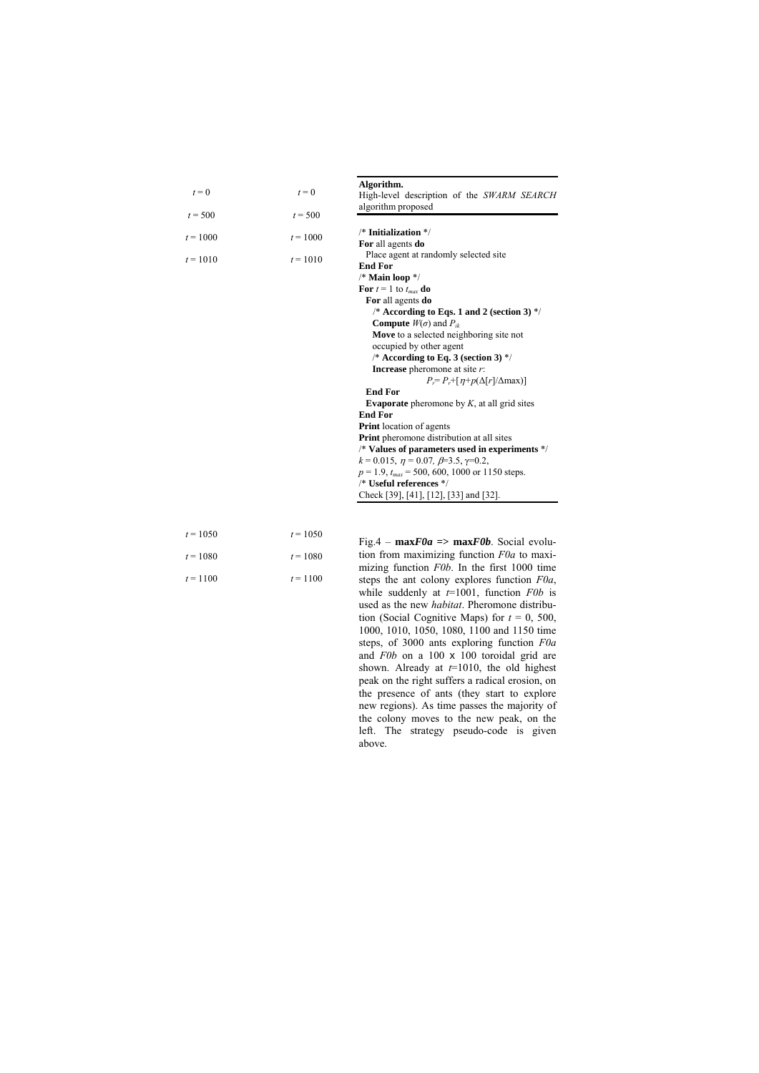| $t = 0$    | $t = 0$    | Algorithm.<br>High-level description of the SWARM SEARCH       |
|------------|------------|----------------------------------------------------------------|
| $t = 500$  | $t = 500$  | algorithm proposed                                             |
| $t = 1000$ | $t = 1000$ | $/*$ Initialization $*/$<br>For all agents do                  |
| $t = 1010$ | $t = 1010$ | Place agent at randomly selected site<br><b>End For</b>        |
|            |            | /* Main loop */                                                |
|            |            | For $t = 1$ to $t_{max}$ do                                    |
|            |            | For all agents do                                              |
|            |            | /* According to Eqs. 1 and 2 (section 3) $\frac{*}{ }$         |
|            |            | <b>Compute</b> $W(\sigma)$ and $P_{ik}$                        |
|            |            | Move to a selected neighboring site not                        |
|            |            | occupied by other agent                                        |
|            |            | /* According to Eq. 3 (section 3) $\frac{1}{2}$                |
|            |            | <b>Increase</b> pheromone at site $r$ :                        |
|            |            | $P_i = P_i + [n+p(\Delta[r]/\Delta max)]$                      |
|            |            | <b>End For</b>                                                 |
|            |            | <b>Evaporate</b> pheromone by $K$ , at all grid sites          |
|            |            | <b>End For</b>                                                 |
|            |            | <b>Print</b> location of agents                                |
|            |            | <b>Print</b> pheromone distribution at all sites               |
|            |            | /* Values of parameters used in experiments */                 |
|            |            | $k = 0.015$ , $\eta = 0.07$ , $\beta = 3.5$ , $\gamma = 0.2$ , |
|            |            | $p = 1.9$ , $t_{max} = 500$ , 600, 1000 or 1150 steps.         |
|            |            | /* Useful references */                                        |
|            |            | Check [39], [41], [12], [33] and [32].                         |
|            |            |                                                                |
|            |            |                                                                |

| $t = 1050$ | $t = 1050$ |
|------------|------------|
| $t = 1080$ | $t = 1080$ |
| $t = 1100$ | $t = 1100$ |

Fig.4 – **max***F0a* **=> max***F0b*. Social evolution from maximizing function *F0a* to maximizing function *F0b*. In the first 1000 time steps the ant colony explores function *F0a*, while suddenly at *t*=1001, function *F0b* is used as the new *habitat*. Pheromone distribution (Social Cognitive Maps) for  $t = 0$ , 500, 1000, 1010, 1050, 1080, 1100 and 1150 time steps, of 3000 ants exploring function *F0a* and *F0b* on a 100 x 100 toroidal grid are shown. Already at *t*=1010, the old highest peak on the right suffers a radical erosion, on the presence of ants (they start to explore new regions). As time passes the majority of the colony moves to the new peak, on the left. The strategy pseudo-code is given above.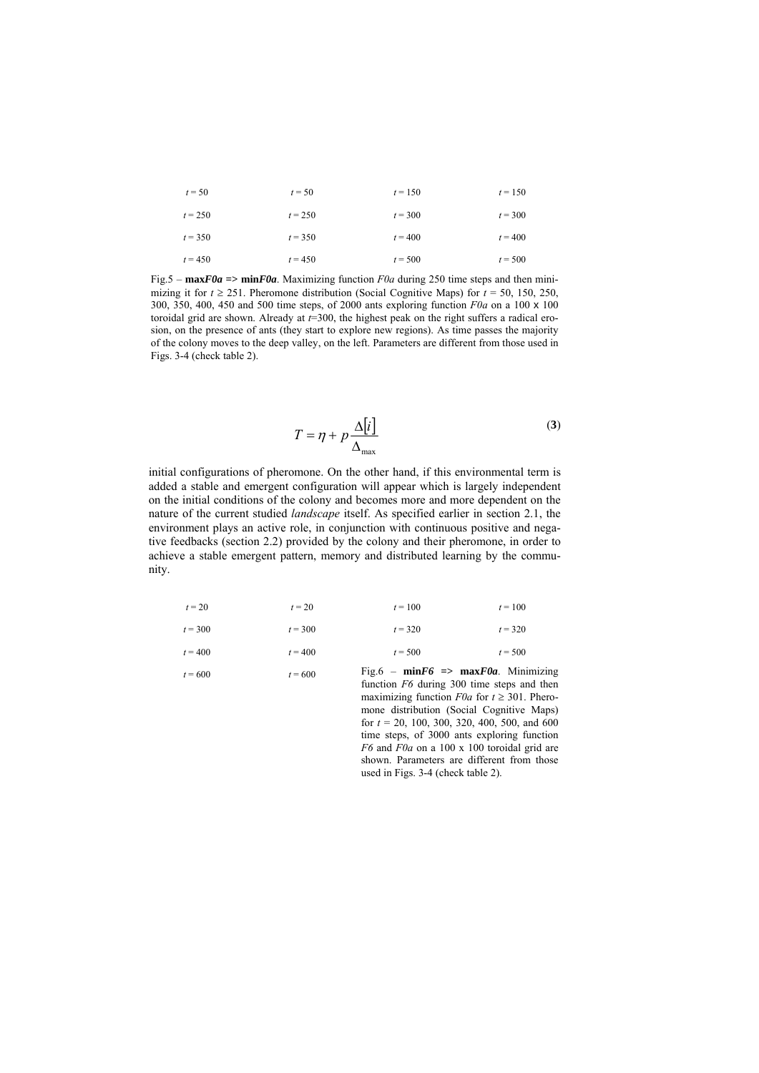| $t = 50$  | $t = 50$  | $t = 150$ | $t = 150$ |
|-----------|-----------|-----------|-----------|
| $t = 250$ | $t = 250$ | $t = 300$ | $t = 300$ |
| $t = 350$ | $t = 350$ | $t = 400$ | $t = 400$ |
| $t = 450$ | $t = 450$ | $t = 500$ | $t = 500$ |

Fig.5 –  $maxF0a$  =>  $minF0a$ . Maximizing function  $F0a$  during 250 time steps and then minimizing it for  $t \ge 251$ . Pheromone distribution (Social Cognitive Maps) for  $t = 50$ , 150, 250, 300, 350, 400, 450 and 500 time steps, of 2000 ants exploring function *F0a* on a 100 x 100 toroidal grid are shown. Already at *t*=300, the highest peak on the right suffers a radical erosion, on the presence of ants (they start to explore new regions). As time passes the majority of the colony moves to the deep valley, on the left. Parameters are different from those used in Figs. 3-4 (check table 2).

$$
T = \eta + p \frac{\Delta[i]}{\Delta_{\text{max}}} \tag{3}
$$

initial configurations of pheromone. On the other hand, if this environmental term is added a stable and emergent configuration will appear which is largely independent on the initial conditions of the colony and becomes more and more dependent on the nature of the current studied *landscape* itself. As specified earlier in section 2.1, the environment plays an active role, in conjunction with continuous positive and negative feedbacks (section 2.2) provided by the colony and their pheromone, in order to achieve a stable emergent pattern, memory and distributed learning by the community.

|           |           | ___       | .<br>___  |
|-----------|-----------|-----------|-----------|
| $t = 400$ | $t = 400$ | $t = 500$ | $t = 500$ |
| $t = 300$ | $t = 300$ | $t = 320$ | $t = 320$ |
| $t = 20$  | $t = 20$  | $t = 100$ | $t = 100$ |

 $t = 600$   $t = 600$  Fig.6 – **min***F6* => **max***F0a*. Minimizing function *F6* during 300 time steps and then maximizing function  $F0a$  for  $t \ge 301$ . Pheromone distribution (Social Cognitive Maps) for  $t = 20, 100, 300, 320, 400, 500,$  and 600 time steps, of 3000 ants exploring function *F6* and *F0a* on a 100 x 100 toroidal grid are shown. Parameters are different from those used in Figs. 3-4 (check table 2).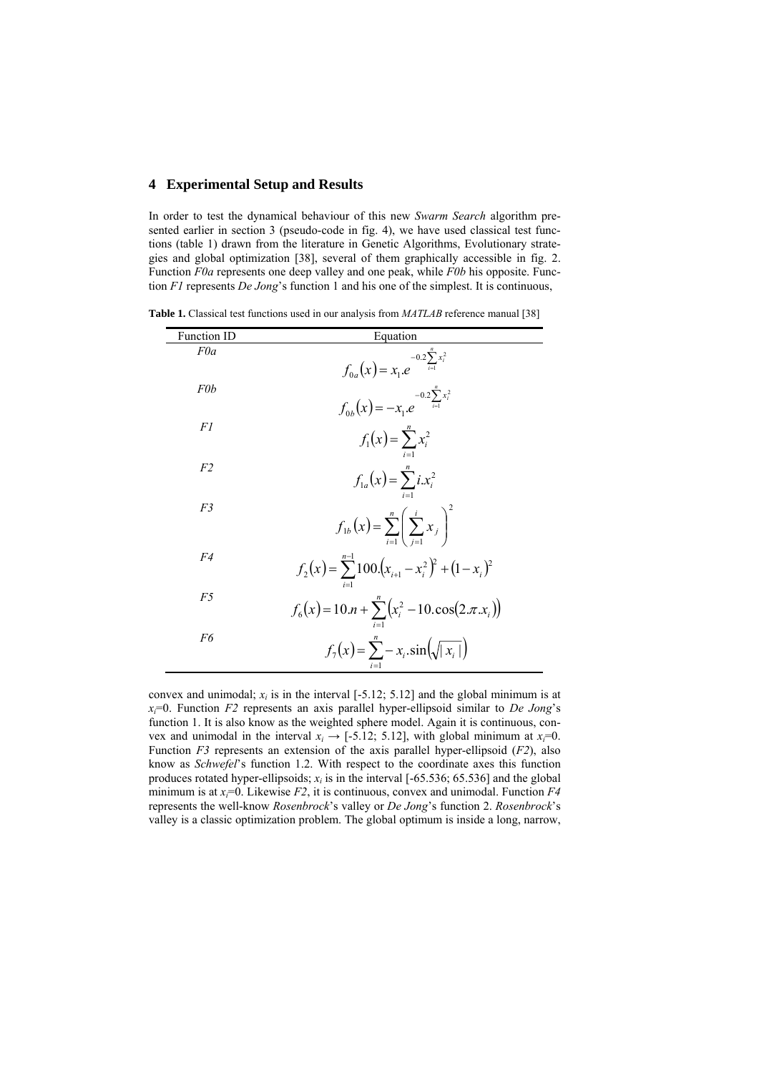### **4 Experimental Setup and Results**

In order to test the dynamical behaviour of this new *Swarm Search* algorithm presented earlier in section 3 (pseudo-code in fig. 4), we have used classical test functions (table 1) drawn from the literature in Genetic Algorithms, Evolutionary strategies and global optimization [38], several of them graphically accessible in fig. 2. Function *F0a* represents one deep valley and one peak, while *F0b* his opposite. Function *F1* represents *De Jong*'s function 1 and his one of the simplest. It is continuous,

**Table 1.** Classical test functions used in our analysis from *MATLAB* reference manual [38]

| <b>Function ID</b> | Equation                                                                                |
|--------------------|-----------------------------------------------------------------------------------------|
| F0a                |                                                                                         |
|                    | $f_{0a}(x) = x_1.e^{-0.2\sum_{i=1}^{n} x_i^2}$                                          |
| F0b                |                                                                                         |
|                    | $f_{0b}(x) = -x_1 e^{-0.2 \sum_{i=1}^{n} x_i^2}$                                        |
| F1                 | $f_1(x) = \sum_{i=1}^{n} x_i^2$                                                         |
|                    |                                                                                         |
| F <sub>2</sub>     | $f_{1a}(x) = \sum_{i=1}^{n} i x_i^2$                                                    |
| F3                 |                                                                                         |
|                    | $f_{1b}(x) = \sum_{i=1}^{n} \left(\sum_{i=1}^{i} x_i\right)^2$                          |
| F4                 |                                                                                         |
|                    | $f_2(x) = \sum_{i=1}^{n-1} 100 \left(x_{i+1} - x_i^2\right)^2 + \left(1 - x_i\right)^2$ |
| F5                 |                                                                                         |
|                    | $f_6(x) = 10 \cdot n + \sum_{i=1}^{n} (x_i^2 - 10 \cdot \cos(2 \cdot \pi \cdot x_i))$   |
| F6                 |                                                                                         |
|                    | $f_7(x) = \sum_{i=1}^{n} -x_i \sin(\sqrt{ x_i })$                                       |
|                    |                                                                                         |

convex and unimodal;  $x_i$  is in the interval  $[-5.12; 5.12]$  and the global minimum is at  $x_i=0$ . Function *F2* represents an axis parallel hyper-ellipsoid similar to *De Jong*'s function 1. It is also know as the weighted sphere model. Again it is continuous, convex and unimodal in the interval  $x_i \rightarrow [-5.12, 5.12]$ , with global minimum at  $x_i=0$ . Function *F3* represents an extension of the axis parallel hyper-ellipsoid (*F2*), also know as *Schwefel*'s function 1.2. With respect to the coordinate axes this function produces rotated hyper-ellipsoids;  $x_i$  is in the interval  $[-65.536, 65.536]$  and the global minimum is at  $x_i=0$ . Likewise *F2*, it is continuous, convex and unimodal. Function *F4* represents the well-know *Rosenbrock*'s valley or *De Jong*'s function 2. *Rosenbrock*'s valley is a classic optimization problem. The global optimum is inside a long, narrow,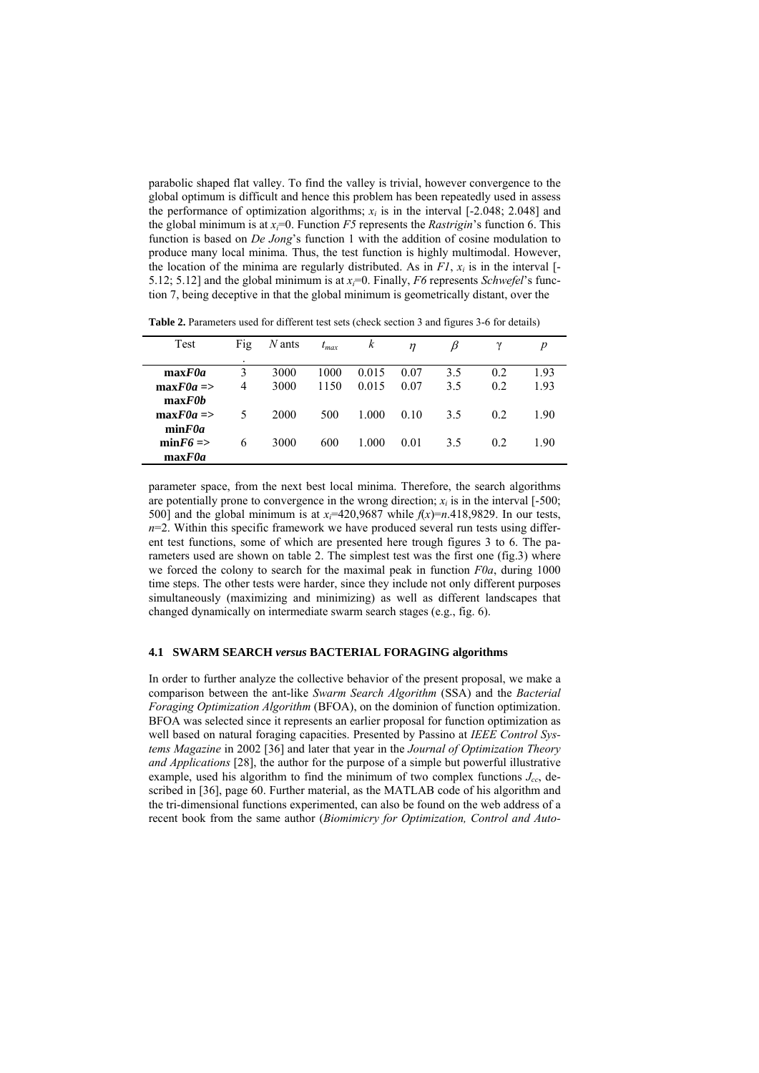parabolic shaped flat valley. To find the valley is trivial, however convergence to the global optimum is difficult and hence this problem has been repeatedly used in assess the performance of optimization algorithms;  $x_i$  is in the interval  $[-2.048; 2.048]$  and the global minimum is at  $x_i=0$ . Function *F5* represents the *Rastrigin*'s function 6. This function is based on *De Jong*'s function 1 with the addition of cosine modulation to produce many local minima. Thus, the test function is highly multimodal. However, the location of the minima are regularly distributed. As in  $FI$ ,  $x_i$  is in the interval [-5.12; 5.12] and the global minimum is at  $x_i=0$ . Finally, F6 represents *Schwefel*'s function 7, being deceptive in that the global minimum is geometrically distant, over the

**Table 2.** Parameters used for different test sets (check section 3 and figures 3-6 for details)

| Test                 | Fig | $N$ ants | $t_{max}$ | k     | $\eta$ | ß   |     | $\boldsymbol{p}$ |
|----------------------|-----|----------|-----------|-------|--------|-----|-----|------------------|
|                      | ٠   |          |           |       |        |     |     |                  |
| maxF0a               | 3   | 3000     | 1000      | 0.015 | 0.07   | 3.5 | 0.2 | 1.93             |
| $maxF0a \Rightarrow$ | 4   | 3000     | 1150      | 0.015 | 0.07   | 3.5 | 0.2 | 1.93             |
| maxF0b               |     |          |           |       |        |     |     |                  |
| $maxF0a \Rightarrow$ | 5   | 2000     | 500       | 1.000 | 0.10   | 3.5 | 0.2 | 1.90             |
| minF0a               |     |          |           |       |        |     |     |                  |
| $minF6 \approx$      | 6   | 3000     | 600       | 1.000 | 0.01   | 3.5 | 0.2 | 1.90             |
| maxF0a               |     |          |           |       |        |     |     |                  |

parameter space, from the next best local minima. Therefore, the search algorithms are potentially prone to convergence in the wrong direction;  $x_i$  is in the interval  $[-500;$ 500] and the global minimum is at  $x_i$ =420,9687 while  $f(x)$ =n.418,9829. In our tests,  $n=2$ . Within this specific framework we have produced several run tests using different test functions, some of which are presented here trough figures 3 to 6. The parameters used are shown on table 2. The simplest test was the first one (fig.3) where we forced the colony to search for the maximal peak in function *F0a*, during 1000 time steps. The other tests were harder, since they include not only different purposes simultaneously (maximizing and minimizing) as well as different landscapes that changed dynamically on intermediate swarm search stages (e.g., fig. 6).

### **4.1 SWARM SEARCH** *versus* **BACTERIAL FORAGING algorithms**

In order to further analyze the collective behavior of the present proposal, we make a comparison between the ant-like *Swarm Search Algorithm* (SSA) and the *Bacterial Foraging Optimization Algorithm* (BFOA), on the dominion of function optimization. BFOA was selected since it represents an earlier proposal for function optimization as well based on natural foraging capacities. Presented by Passino at *IEEE Control Systems Magazine* in 2002 [36] and later that year in the *Journal of Optimization Theory and Applications* [28], the author for the purpose of a simple but powerful illustrative example, used his algorithm to find the minimum of two complex functions  $J_{cc}$ , described in [36], page 60. Further material, as the MATLAB code of his algorithm and the tri-dimensional functions experimented, can also be found on the web address of a recent book from the same author (*Biomimicry for Optimization, Control and Auto-*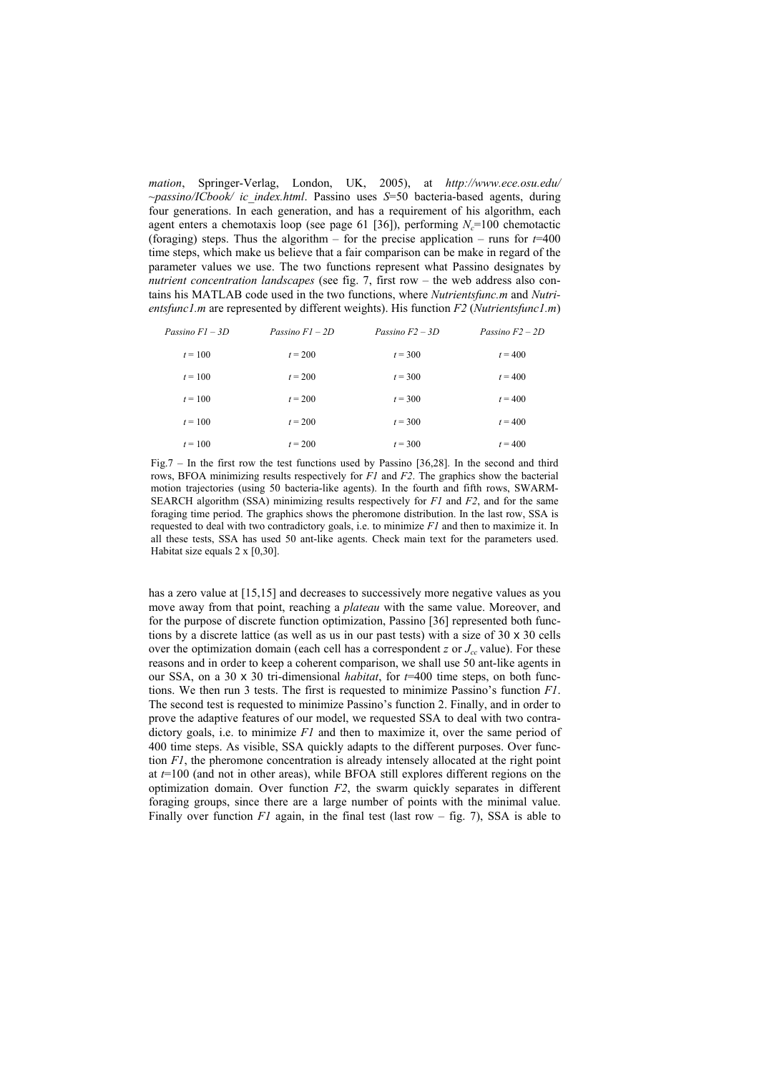*mation*, Springer-Verlag, London, UK, 2005), at *http://www.ece.osu.edu/ ~passino/ICbook/ ic\_index.html*. Passino uses *S*=50 bacteria-based agents, during four generations. In each generation, and has a requirement of his algorithm, each agent enters a chemotaxis loop (see page 61 [36]), performing  $N_c$ =100 chemotactic (foraging) steps. Thus the algorithm – for the precise application – runs for  $t=400$ time steps, which make us believe that a fair comparison can be make in regard of the parameter values we use. The two functions represent what Passino designates by *nutrient concentration landscapes* (see fig. 7, first row – the web address also contains his MATLAB code used in the two functions, where *Nutrientsfunc.m* and *Nutrientsfunc1.m* are represented by different weights). His function *F2* (*Nutrientsfunc1.m*)

| Passino $FI - 3D$ | Passino $FI - 2D$ | Passino $F2 - 3D$ | Passino $F2 - 2D$ |
|-------------------|-------------------|-------------------|-------------------|
| $t = 100$         | $t = 200$         | $t = 300$         | $t = 400$         |
| $t = 100$         | $t = 200$         | $t = 300$         | $t = 400$         |
| $t = 100$         | $t = 200$         | $t = 300$         | $t = 400$         |
| $t = 100$         | $t = 200$         | $t = 300$         | $t = 400$         |
| $t = 100$         | $t = 200$         | $t = 300$         | $t = 400$         |

Fig.7 – In the first row the test functions used by Passino [36,28]. In the second and third rows, BFOA minimizing results respectively for *F1* and *F2*. The graphics show the bacterial motion trajectories (using 50 bacteria-like agents). In the fourth and fifth rows, SWARM-SEARCH algorithm (SSA) minimizing results respectively for *F1* and *F2*, and for the same foraging time period. The graphics shows the pheromone distribution. In the last row, SSA is requested to deal with two contradictory goals, i.e. to minimize *F1* and then to maximize it. In all these tests, SSA has used 50 ant-like agents. Check main text for the parameters used. Habitat size equals 2 x [0,30].

has a zero value at [15,15] and decreases to successively more negative values as you move away from that point, reaching a *plateau* with the same value. Moreover, and for the purpose of discrete function optimization, Passino [36] represented both functions by a discrete lattice (as well as us in our past tests) with a size of 30 x 30 cells over the optimization domain (each cell has a correspondent *z* or  $J_{cc}$  value). For these reasons and in order to keep a coherent comparison, we shall use 50 ant-like agents in our SSA, on a 30 x 30 tri-dimensional *habitat*, for *t*=400 time steps, on both functions. We then run 3 tests. The first is requested to minimize Passino's function *F1*. The second test is requested to minimize Passino's function 2. Finally, and in order to prove the adaptive features of our model, we requested SSA to deal with two contradictory goals, i.e. to minimize *F1* and then to maximize it, over the same period of 400 time steps. As visible, SSA quickly adapts to the different purposes. Over function *F1*, the pheromone concentration is already intensely allocated at the right point at *t*=100 (and not in other areas), while BFOA still explores different regions on the optimization domain. Over function *F2*, the swarm quickly separates in different foraging groups, since there are a large number of points with the minimal value. Finally over function *F1* again, in the final test (last row – fig. 7), SSA is able to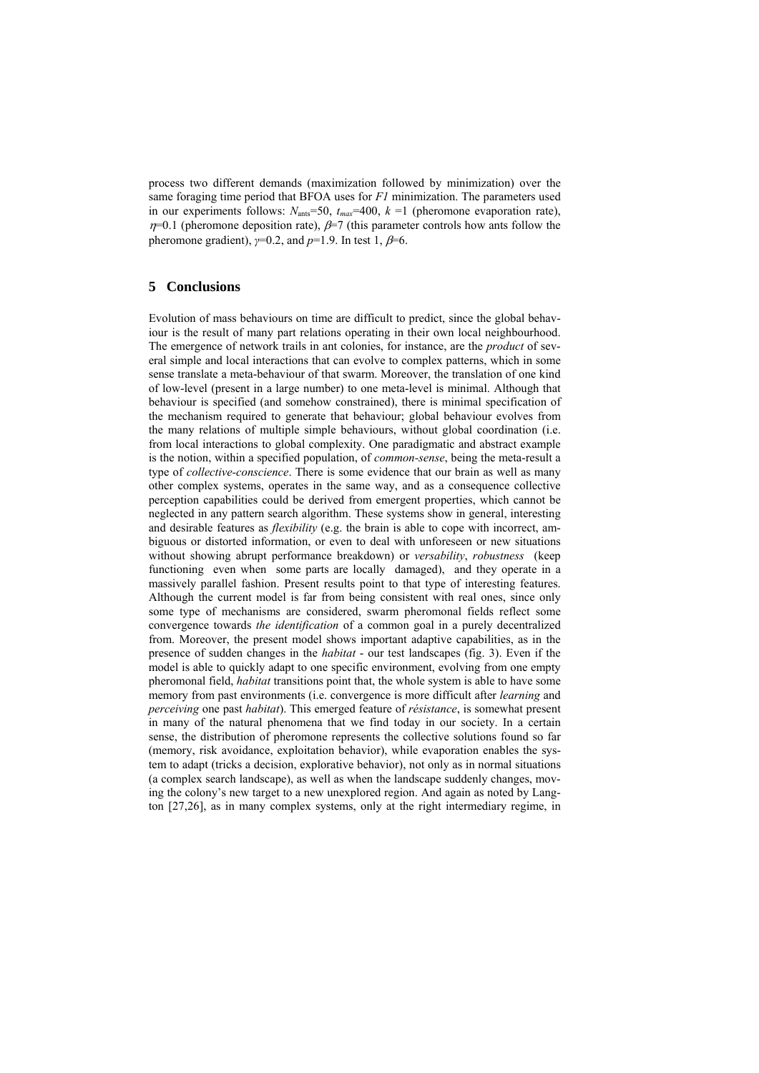process two different demands (maximization followed by minimization) over the same foraging time period that BFOA uses for *F1* minimization. The parameters used in our experiments follows:  $N_{\text{ants}}=50$ ,  $t_{\text{max}}=400$ ,  $k = 1$  (pheromone evaporation rate),  $η=0.1$  (pheromone deposition rate),  $β=7$  (this parameter controls how ants follow the pheromone gradient),  $\gamma=0.2$ , and  $p=1.9$ . In test 1,  $\beta=6$ .

# **5 Conclusions**

Evolution of mass behaviours on time are difficult to predict, since the global behaviour is the result of many part relations operating in their own local neighbourhood. The emergence of network trails in ant colonies, for instance, are the *product* of several simple and local interactions that can evolve to complex patterns, which in some sense translate a meta-behaviour of that swarm. Moreover, the translation of one kind of low-level (present in a large number) to one meta-level is minimal. Although that behaviour is specified (and somehow constrained), there is minimal specification of the mechanism required to generate that behaviour; global behaviour evolves from the many relations of multiple simple behaviours, without global coordination (i.e. from local interactions to global complexity. One paradigmatic and abstract example is the notion, within a specified population, of *common-sense*, being the meta-result a type of *collective-conscience*. There is some evidence that our brain as well as many other complex systems, operates in the same way, and as a consequence collective perception capabilities could be derived from emergent properties, which cannot be neglected in any pattern search algorithm. These systems show in general, interesting and desirable features as *flexibility* (e.g. the brain is able to cope with incorrect, ambiguous or distorted information, or even to deal with unforeseen or new situations without showing abrupt performance breakdown) or *versability*, *robustness* (keep functioning even when some parts are locally damaged), and they operate in a massively parallel fashion. Present results point to that type of interesting features. Although the current model is far from being consistent with real ones, since only some type of mechanisms are considered, swarm pheromonal fields reflect some convergence towards *the identification* of a common goal in a purely decentralized from. Moreover, the present model shows important adaptive capabilities, as in the presence of sudden changes in the *habitat* - our test landscapes (fig. 3). Even if the model is able to quickly adapt to one specific environment, evolving from one empty pheromonal field, *habitat* transitions point that, the whole system is able to have some memory from past environments (i.e. convergence is more difficult after *learning* and *perceiving* one past *habitat*). This emerged feature of *résistance*, is somewhat present in many of the natural phenomena that we find today in our society. In a certain sense, the distribution of pheromone represents the collective solutions found so far (memory, risk avoidance, exploitation behavior), while evaporation enables the system to adapt (tricks a decision, explorative behavior), not only as in normal situations (a complex search landscape), as well as when the landscape suddenly changes, moving the colony's new target to a new unexplored region. And again as noted by Langton [27,26], as in many complex systems, only at the right intermediary regime, in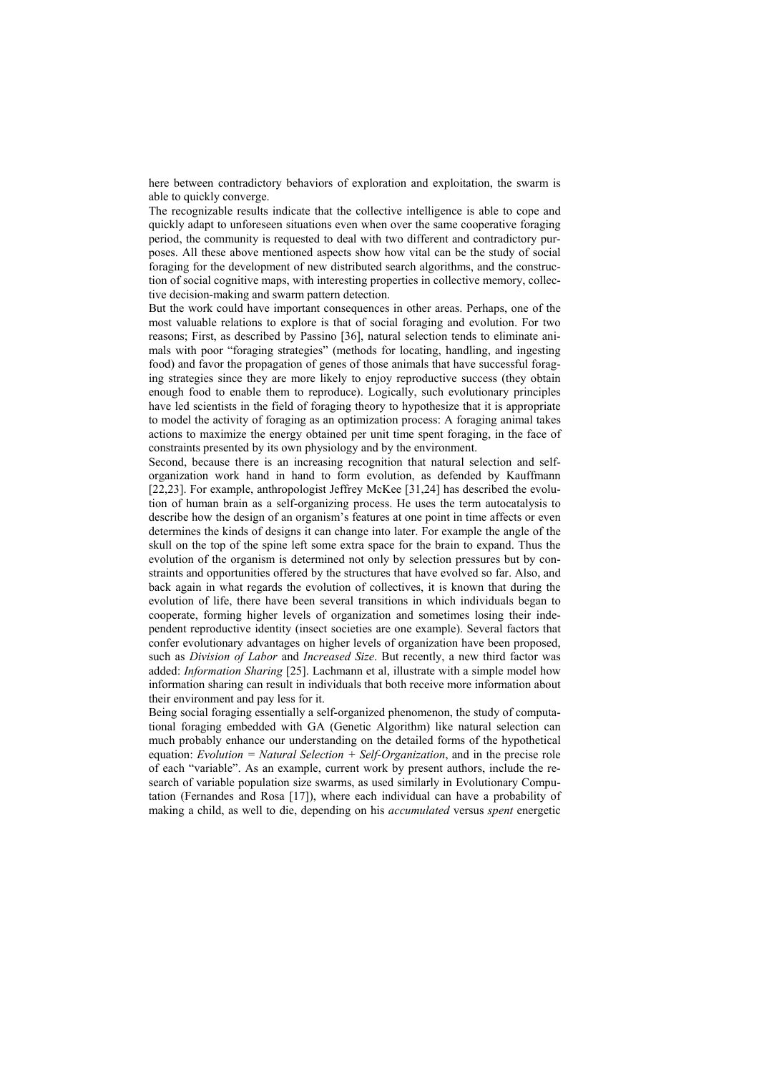here between contradictory behaviors of exploration and exploitation, the swarm is able to quickly converge.

The recognizable results indicate that the collective intelligence is able to cope and quickly adapt to unforeseen situations even when over the same cooperative foraging period, the community is requested to deal with two different and contradictory purposes. All these above mentioned aspects show how vital can be the study of social foraging for the development of new distributed search algorithms, and the construction of social cognitive maps, with interesting properties in collective memory, collective decision-making and swarm pattern detection.

But the work could have important consequences in other areas. Perhaps, one of the most valuable relations to explore is that of social foraging and evolution. For two reasons; First, as described by Passino [36], natural selection tends to eliminate animals with poor "foraging strategies" (methods for locating, handling, and ingesting food) and favor the propagation of genes of those animals that have successful foraging strategies since they are more likely to enjoy reproductive success (they obtain enough food to enable them to reproduce). Logically, such evolutionary principles have led scientists in the field of foraging theory to hypothesize that it is appropriate to model the activity of foraging as an optimization process: A foraging animal takes actions to maximize the energy obtained per unit time spent foraging, in the face of constraints presented by its own physiology and by the environment.

Second, because there is an increasing recognition that natural selection and selforganization work hand in hand to form evolution, as defended by Kauffmann [22,23]. For example, anthropologist Jeffrey McKee [31,24] has described the evolution of human brain as a self-organizing process. He uses the term autocatalysis to describe how the design of an organism's features at one point in time affects or even determines the kinds of designs it can change into later. For example the angle of the skull on the top of the spine left some extra space for the brain to expand. Thus the evolution of the organism is determined not only by selection pressures but by constraints and opportunities offered by the structures that have evolved so far. Also, and back again in what regards the evolution of collectives, it is known that during the evolution of life, there have been several transitions in which individuals began to cooperate, forming higher levels of organization and sometimes losing their independent reproductive identity (insect societies are one example). Several factors that confer evolutionary advantages on higher levels of organization have been proposed, such as *Division of Labor* and *Increased Size*. But recently, a new third factor was added: *Information Sharing* [25]. Lachmann et al, illustrate with a simple model how information sharing can result in individuals that both receive more information about their environment and pay less for it.

Being social foraging essentially a self-organized phenomenon, the study of computational foraging embedded with GA (Genetic Algorithm) like natural selection can much probably enhance our understanding on the detailed forms of the hypothetical equation: *Evolution = Natural Selection + Self-Organization*, and in the precise role of each "variable". As an example, current work by present authors, include the research of variable population size swarms, as used similarly in Evolutionary Computation (Fernandes and Rosa [17]), where each individual can have a probability of making a child, as well to die, depending on his *accumulated* versus *spent* energetic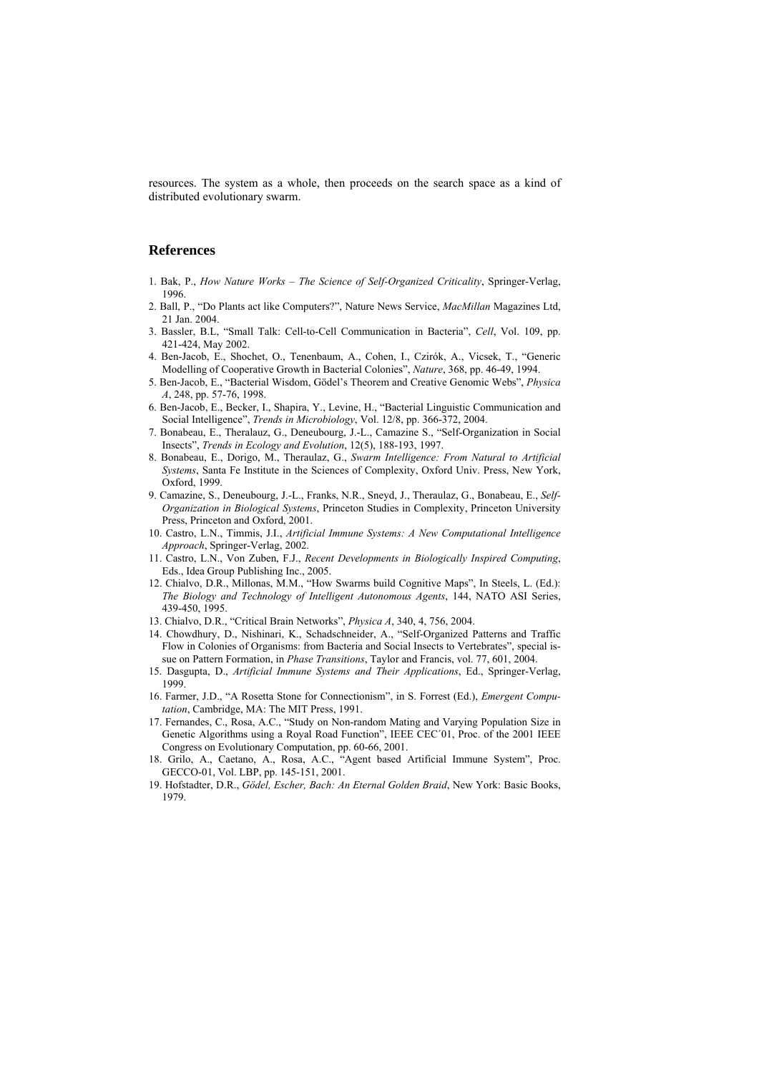resources. The system as a whole, then proceeds on the search space as a kind of distributed evolutionary swarm.

## **References**

- 1. Bak, P., *How Nature Works The Science of Self-Organized Criticality*, Springer-Verlag, 1996.
- 2. Ball, P., "Do Plants act like Computers?", Nature News Service, *MacMillan* Magazines Ltd, 21 Jan. 2004.
- 3. Bassler, B.L, "Small Talk: Cell-to-Cell Communication in Bacteria", *Cell*, Vol. 109, pp. 421-424, May 2002.
- 4. Ben-Jacob, E., Shochet, O., Tenenbaum, A., Cohen, I., Czirók, A., Vicsek, T., "Generic Modelling of Cooperative Growth in Bacterial Colonies", *Nature*, 368, pp. 46-49, 1994.
- 5. Ben-Jacob, E., "Bacterial Wisdom, Gödel's Theorem and Creative Genomic Webs", *Physica A*, 248, pp. 57-76, 1998.
- 6. Ben-Jacob, E., Becker, I., Shapira, Y., Levine, H., "Bacterial Linguistic Communication and Social Intelligence", *Trends in Microbiology*, Vol. 12/8, pp. 366-372, 2004.
- 7. Bonabeau, E., Theralauz, G., Deneubourg, J.-L., Camazine S., "Self-Organization in Social Insects", *Trends in Ecology and Evolution*, 12(5), 188-193, 1997.
- 8. Bonabeau, E., Dorigo, M., Theraulaz, G., *Swarm Intelligence: From Natural to Artificial Systems*, Santa Fe Institute in the Sciences of Complexity, Oxford Univ. Press, New York, Oxford, 1999.
- 9. Camazine, S., Deneubourg, J.-L., Franks, N.R., Sneyd, J., Theraulaz, G., Bonabeau, E., *Self-Organization in Biological Systems*, Princeton Studies in Complexity, Princeton University Press, Princeton and Oxford, 2001.
- 10. Castro, L.N., Timmis, J.I., *Artificial Immune Systems: A New Computational Intelligence Approach*, Springer-Verlag, 2002.
- 11. Castro, L.N., Von Zuben, F.J., *Recent Developments in Biologically Inspired Computing*, Eds., Idea Group Publishing Inc., 2005.
- 12. Chialvo, D.R., Millonas, M.M., "How Swarms build Cognitive Maps", In Steels, L. (Ed.): *The Biology and Technology of Intelligent Autonomous Agents*, 144, NATO ASI Series, 439-450, 1995.
- 13. Chialvo, D.R., "Critical Brain Networks", *Physica A*, 340, 4, 756, 2004.
- 14. Chowdhury, D., Nishinari, K., Schadschneider, A., "Self-Organized Patterns and Traffic Flow in Colonies of Organisms: from Bacteria and Social Insects to Vertebrates", special issue on Pattern Formation, in *Phase Transitions*, Taylor and Francis, vol. 77, 601, 2004.
- 15. Dasgupta, D., *Artificial Immune Systems and Their Applications*, Ed., Springer-Verlag, 1999.
- 16. Farmer, J.D., "A Rosetta Stone for Connectionism", in S. Forrest (Ed.), *Emergent Computation*, Cambridge, MA: The MIT Press, 1991.
- 17. Fernandes, C., Rosa, A.C., "Study on Non-random Mating and Varying Population Size in Genetic Algorithms using a Royal Road Function", IEEE CEC´01, Proc. of the 2001 IEEE Congress on Evolutionary Computation, pp. 60-66, 2001.
- 18. Grilo, A., Caetano, A., Rosa, A.C., "Agent based Artificial Immune System", Proc. GECCO-01, Vol. LBP, pp. 145-151, 2001.
- 19. Hofstadter, D.R., *Gödel, Escher, Bach: An Eternal Golden Braid*, New York: Basic Books, 1979.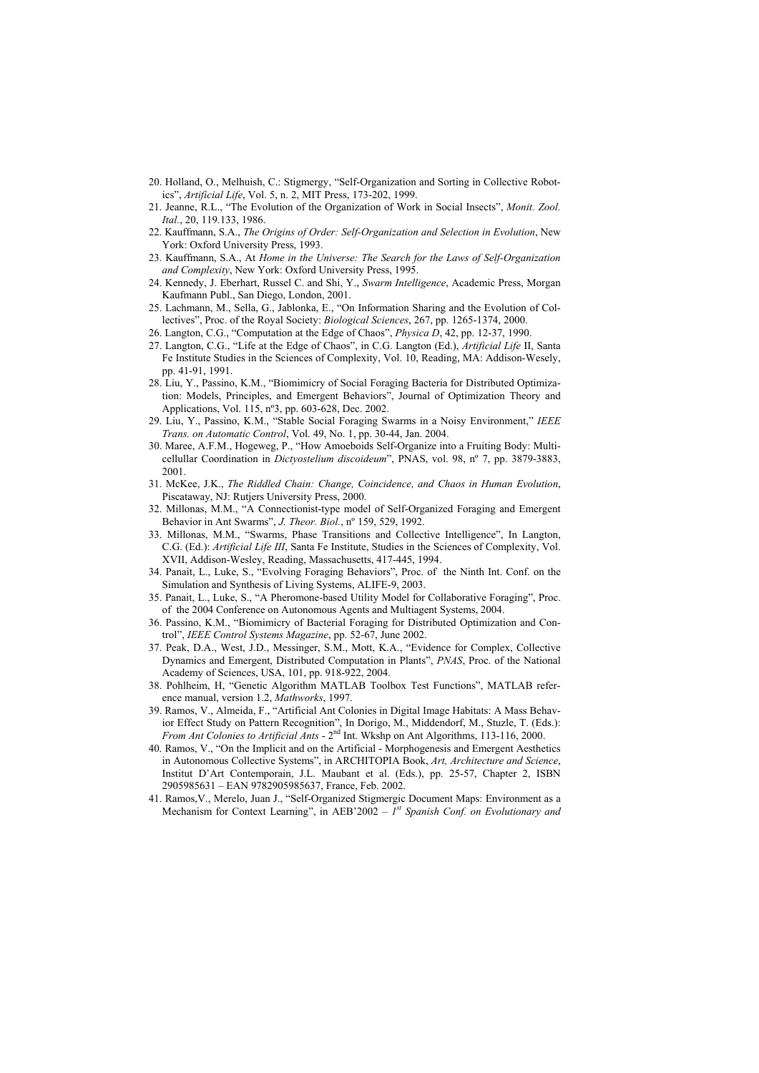- 20. Holland, O., Melhuish, C.: Stigmergy, "Self-Organization and Sorting in Collective Robotics", *Artificial Life*, Vol. 5, n. 2, MIT Press, 173-202, 1999.
- 21. Jeanne, R.L., "The Evolution of the Organization of Work in Social Insects", *Monit. Zool. Ital.*, 20, 119.133, 1986.
- 22. Kauffmann, S.A., *The Origins of Order: Self-Organization and Selection in Evolution*, New York: Oxford University Press, 1993.
- 23. Kauffmann, S.A., At *Home in the Universe: The Search for the Laws of Self-Organization and Complexity*, New York: Oxford University Press, 1995.
- 24. Kennedy, J. Eberhart, Russel C. and Shi, Y., *Swarm Intelligence*, Academic Press, Morgan Kaufmann Publ., San Diego, London, 2001.
- 25. Lachmann, M., Sella, G., Jablonka, E., "On Information Sharing and the Evolution of Collectives", Proc. of the Royal Society: *Biological Sciences*, 267, pp. 1265-1374, 2000.
- 26. Langton, C.G., "Computation at the Edge of Chaos", *Physica D*, 42, pp. 12-37, 1990.
- 27. Langton, C.G., "Life at the Edge of Chaos", in C.G. Langton (Ed.), *Artificial Life* II, Santa Fe Institute Studies in the Sciences of Complexity, Vol. 10, Reading, MA: Addison-Wesely, pp. 41-91, 1991.
- 28. Liu, Y., Passino, K.M., "Biomimicry of Social Foraging Bacteria for Distributed Optimization: Models, Principles, and Emergent Behaviors", Journal of Optimization Theory and Applications, Vol. 115, nº3, pp. 603-628, Dec. 2002.
- 29. Liu, Y., Passino, K.M., "Stable Social Foraging Swarms in a Noisy Environment," *IEEE Trans. on Automatic Control*, Vol. 49, No. 1, pp. 30-44, Jan. 2004.
- 30. Maree, A.F.M., Hogeweg, P., "How Amoeboids Self-Organize into a Fruiting Body: Multicellullar Coordination in *Dictyostelium discoideum*", PNAS, vol. 98, nº 7, pp. 3879-3883, 2001.
- 31. McKee, J.K., *The Riddled Chain: Change, Coincidence, and Chaos in Human Evolution*, Piscataway, NJ: Rutjers University Press, 2000.
- 32. Millonas, M.M., "A Connectionist-type model of Self-Organized Foraging and Emergent Behavior in Ant Swarms", *J. Theor. Biol.*, nº 159, 529, 1992.
- 33. Millonas, M.M., "Swarms, Phase Transitions and Collective Intelligence", In Langton, C.G. (Ed.): *Artificial Life III*, Santa Fe Institute, Studies in the Sciences of Complexity, Vol. XVII, Addison-Wesley, Reading, Massachusetts, 417-445, 1994.
- 34. Panait, L., Luke, S., "Evolving Foraging Behaviors", Proc. of the Ninth Int. Conf. on the Simulation and Synthesis of Living Systems, ALIFE-9, 2003.
- 35. Panait, L., Luke, S., "A Pheromone-based Utility Model for Collaborative Foraging", Proc. of the 2004 Conference on Autonomous Agents and Multiagent Systems, 2004.
- 36. Passino, K.M., "Biomimicry of Bacterial Foraging for Distributed Optimization and Control", *IEEE Control Systems Magazine*, pp. 52-67, June 2002.
- 37. Peak, D.A., West, J.D., Messinger, S.M., Mott, K.A., "Evidence for Complex, Collective Dynamics and Emergent, Distributed Computation in Plants", *PNAS*, Proc. of the National Academy of Sciences, USA, 101, pp. 918-922, 2004.
- 38. Pohlheim, H, "Genetic Algorithm MATLAB Toolbox Test Functions", MATLAB reference manual, version 1.2, *Mathworks*, 1997.
- 39. Ramos, V., Almeida, F., "Artificial Ant Colonies in Digital Image Habitats: A Mass Behavior Effect Study on Pattern Recognition", In Dorigo, M., Middendorf, M., Stuzle, T. (Eds.): *From Ant Colonies to Artificial Ants* - 2nd Int. Wkshp on Ant Algorithms, 113-116, 2000.
- 40. Ramos, V., "On the Implicit and on the Artificial Morphogenesis and Emergent Aesthetics in Autonomous Collective Systems", in ARCHITOPIA Book, *Art, Architecture and Science*, Institut D'Art Contemporain, J.L. Maubant et al. (Eds.), pp. 25-57, Chapter 2, ISBN 2905985631 – EAN 9782905985637, France, Feb. 2002.
- 41. Ramos,V., Merelo, Juan J., "Self-Organized Stigmergic Document Maps: Environment as a Mechanism for Context Learning", in AEB'2002 – *1st Spanish Conf. on Evolutionary and*